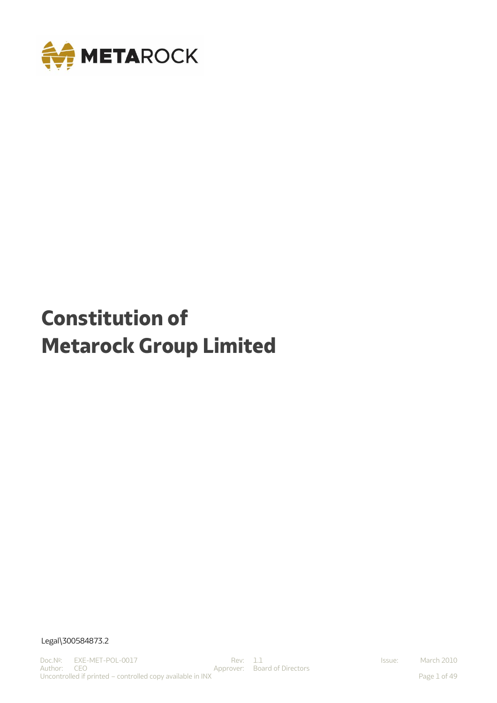

# **Constitution of Metarock Group Limited**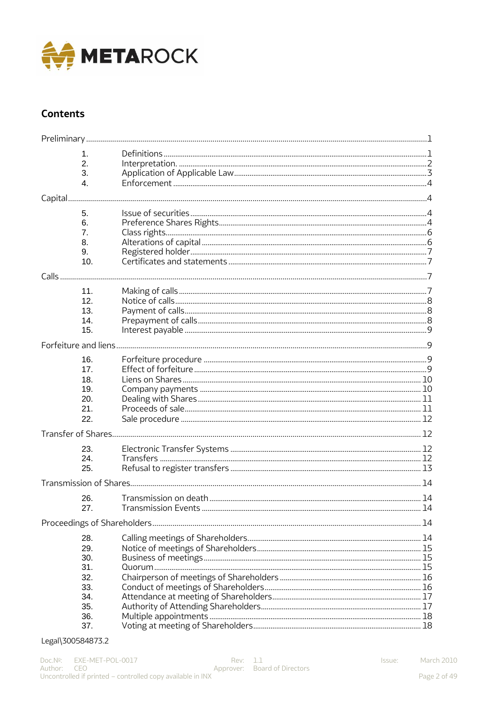

# **Contents**

|         | 1.             |  |  |  |  |  |
|---------|----------------|--|--|--|--|--|
|         | 2.             |  |  |  |  |  |
|         |                |  |  |  |  |  |
|         | 3.             |  |  |  |  |  |
|         | $\mathbf{4}$ . |  |  |  |  |  |
| Capital |                |  |  |  |  |  |
|         | 5.             |  |  |  |  |  |
|         | 6.             |  |  |  |  |  |
|         | 7.             |  |  |  |  |  |
|         | 8.             |  |  |  |  |  |
|         | 9.             |  |  |  |  |  |
|         | 10.            |  |  |  |  |  |
|         |                |  |  |  |  |  |
| Calls   |                |  |  |  |  |  |
|         | 11.            |  |  |  |  |  |
|         | 12.            |  |  |  |  |  |
|         | 13.            |  |  |  |  |  |
|         | 14.            |  |  |  |  |  |
|         | 15.            |  |  |  |  |  |
|         |                |  |  |  |  |  |
|         | 16.            |  |  |  |  |  |
|         | 17.            |  |  |  |  |  |
|         | 18.            |  |  |  |  |  |
|         | 19.            |  |  |  |  |  |
|         | 20.            |  |  |  |  |  |
|         | 21.            |  |  |  |  |  |
|         |                |  |  |  |  |  |
|         | 22.            |  |  |  |  |  |
|         |                |  |  |  |  |  |
|         | 23.            |  |  |  |  |  |
|         | 24.            |  |  |  |  |  |
|         | 25.            |  |  |  |  |  |
|         |                |  |  |  |  |  |
|         |                |  |  |  |  |  |
|         | 26.            |  |  |  |  |  |
|         | 27.            |  |  |  |  |  |
|         |                |  |  |  |  |  |
|         | 28.            |  |  |  |  |  |
|         |                |  |  |  |  |  |
|         | 29.            |  |  |  |  |  |
|         | 30.            |  |  |  |  |  |
|         | 31.            |  |  |  |  |  |
|         | 32.            |  |  |  |  |  |
|         | 33.            |  |  |  |  |  |
|         | 34.            |  |  |  |  |  |
|         | 35.            |  |  |  |  |  |
|         | 36.            |  |  |  |  |  |
|         | 37.            |  |  |  |  |  |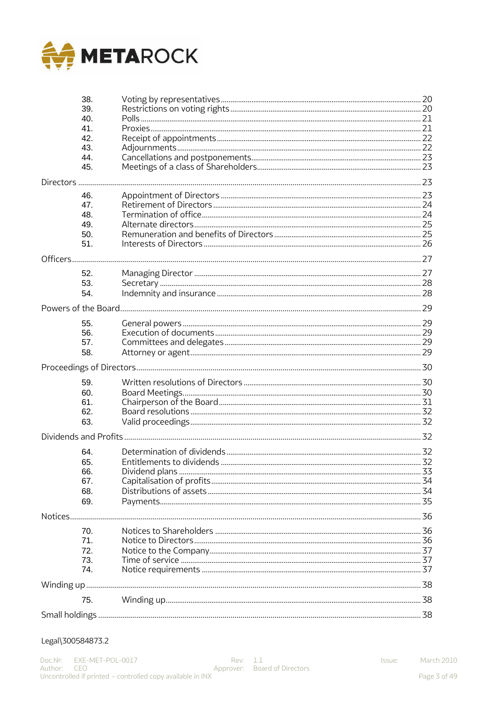

|          | 38.<br>39. |  |  |  |  |
|----------|------------|--|--|--|--|
|          | 40.        |  |  |  |  |
|          | 41.        |  |  |  |  |
|          | 42.        |  |  |  |  |
|          | 43.        |  |  |  |  |
|          | 44.        |  |  |  |  |
|          | 45.        |  |  |  |  |
|          |            |  |  |  |  |
|          | 46.        |  |  |  |  |
|          | 47.        |  |  |  |  |
|          | 48.        |  |  |  |  |
|          | 49.        |  |  |  |  |
|          | 50.        |  |  |  |  |
|          | 51.        |  |  |  |  |
| Officers |            |  |  |  |  |
|          | 52.        |  |  |  |  |
|          | 53.        |  |  |  |  |
|          | 54.        |  |  |  |  |
|          |            |  |  |  |  |
|          |            |  |  |  |  |
|          | 55.<br>56. |  |  |  |  |
|          | 57.        |  |  |  |  |
|          | 58.        |  |  |  |  |
|          |            |  |  |  |  |
|          |            |  |  |  |  |
|          | 59.        |  |  |  |  |
|          | 60.<br>61. |  |  |  |  |
|          | 62.        |  |  |  |  |
|          | 63.        |  |  |  |  |
|          |            |  |  |  |  |
|          |            |  |  |  |  |
|          | 64.        |  |  |  |  |
|          | 65.        |  |  |  |  |
|          | 66.        |  |  |  |  |
|          | 67.        |  |  |  |  |
|          | 68.        |  |  |  |  |
|          | 69.        |  |  |  |  |
|          |            |  |  |  |  |
|          | 70.        |  |  |  |  |
|          | 71.        |  |  |  |  |
|          | 72.        |  |  |  |  |
|          | 73.        |  |  |  |  |
|          | 74.        |  |  |  |  |
|          |            |  |  |  |  |
|          | 75.        |  |  |  |  |
|          |            |  |  |  |  |

#### Legal\300584873.2

Issue: March 2010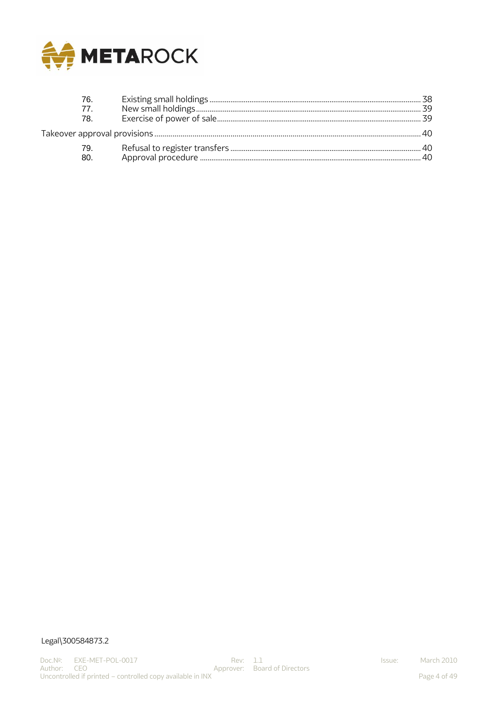

| 76.             |  |  |  |  |
|-----------------|--|--|--|--|
| 77 <sub>1</sub> |  |  |  |  |
| 78.             |  |  |  |  |
|                 |  |  |  |  |
| 79.<br>80.      |  |  |  |  |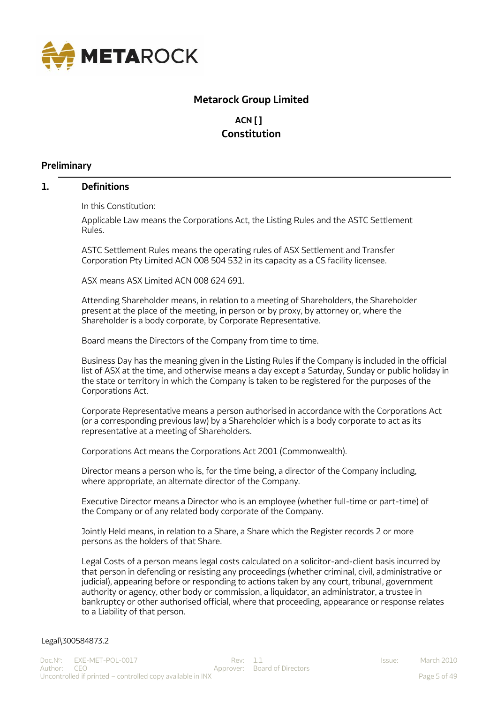<span id="page-4-0"></span>

# **Metarock Group Limited**

# **ACN [ ] Constitution**

#### **Preliminary**

#### <span id="page-4-1"></span>**1. Definitions**

In this Constitution:

Applicable Law means the Corporations Act, the Listing Rules and the ASTC Settlement Rules.

ASTC Settlement Rules means the operating rules of ASX Settlement and Transfer Corporation Pty Limited ACN 008 504 532 in its capacity as a CS facility licensee.

ASX means ASX Limited ACN 008 624 691.

Attending Shareholder means, in relation to a meeting of Shareholders, the Shareholder present at the place of the meeting, in person or by proxy, by attorney or, where the Shareholder is a body corporate, by Corporate Representative.

Board means the Directors of the Company from time to time.

Business Day has the meaning given in the Listing Rules if the Company is included in the official list of ASX at the time, and otherwise means a day except a Saturday, Sunday or public holiday in the state or territory in which the Company is taken to be registered for the purposes of the Corporations Act.

Corporate Representative means a person authorised in accordance with the Corporations Act (or a corresponding previous law) by a Shareholder which is a body corporate to act as its representative at a meeting of Shareholders.

Corporations Act means the Corporations Act 2001 (Commonwealth).

Director means a person who is, for the time being, a director of the Company including, where appropriate, an alternate director of the Company.

Executive Director means a Director who is an employee (whether full-time or part-time) of the Company or of any related body corporate of the Company.

Jointly Held means, in relation to a Share, a Share which the Register records 2 or more persons as the holders of that Share.

Legal Costs of a person means legal costs calculated on a solicitor-and-client basis incurred by that person in defending or resisting any proceedings (whether criminal, civil, administrative or judicial), appearing before or responding to actions taken by any court, tribunal, government authority or agency, other body or commission, a liquidator, an administrator, a trustee in bankruptcy or other authorised official, where that proceeding, appearance or response relates to a Liability of that person.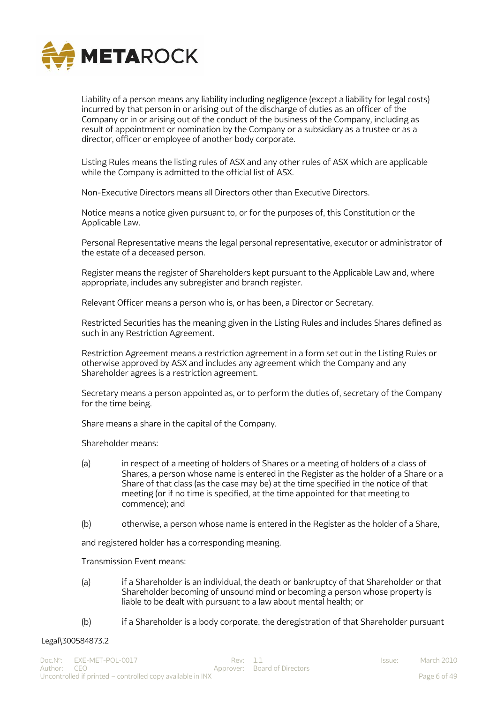

Liability of a person means any liability including negligence (except a liability for legal costs) incurred by that person in or arising out of the discharge of duties as an officer of the Company or in or arising out of the conduct of the business of the Company, including as result of appointment or nomination by the Company or a subsidiary as a trustee or as a director, officer or employee of another body corporate.

Listing Rules means the listing rules of ASX and any other rules of ASX which are applicable while the Company is admitted to the official list of ASX.

Non-Executive Directors means all Directors other than Executive Directors.

Notice means a notice given pursuant to, or for the purposes of, this Constitution or the Applicable Law.

Personal Representative means the legal personal representative, executor or administrator of the estate of a deceased person.

Register means the register of Shareholders kept pursuant to the Applicable Law and, where appropriate, includes any subregister and branch register.

Relevant Officer means a person who is, or has been, a Director or Secretary.

Restricted Securities has the meaning given in the Listing Rules and includes Shares defined as such in any Restriction Agreement.

Restriction Agreement means a restriction agreement in a form set out in the Listing Rules or otherwise approved by ASX and includes any agreement which the Company and any Shareholder agrees is a restriction agreement.

Secretary means a person appointed as, or to perform the duties of, secretary of the Company for the time being.

Share means a share in the capital of the Company.

Shareholder means:

- (a) in respect of a meeting of holders of Shares or a meeting of holders of a class of Shares, a person whose name is entered in the Register as the holder of a Share or a Share of that class (as the case may be) at the time specified in the notice of that meeting (or if no time is specified, at the time appointed for that meeting to commence); and
- (b) otherwise, a person whose name is entered in the Register as the holder of a Share,

and registered holder has a corresponding meaning.

Transmission Event means:

- (a) if a Shareholder is an individual, the death or bankruptcy of that Shareholder or that Shareholder becoming of unsound mind or becoming a person whose property is liable to be dealt with pursuant to a law about mental health; or
- (b) if a Shareholder is a body corporate, the deregistration of that Shareholder pursuant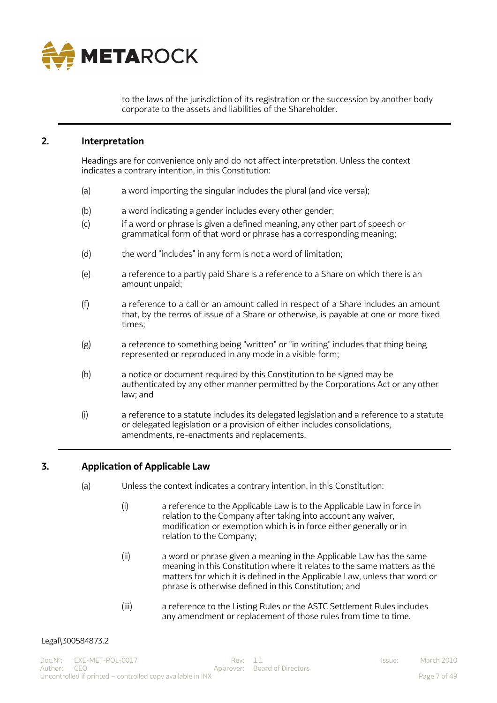

to the laws of the jurisdiction of its registration or the succession by another body corporate to the assets and liabilities of the Shareholder.

## <span id="page-6-0"></span>**2. Interpretation**

Headings are for convenience only and do not affect interpretation. Unless the context indicates a contrary intention, in this Constitution:

- (a) a word importing the singular includes the plural (and vice versa);
- (b) a word indicating a gender includes every other gender;
- (c) if a word or phrase is given a defined meaning, any other part of speech or grammatical form of that word or phrase has a corresponding meaning;
- (d) the word "includes" in any form is not a word of limitation;
- (e) a reference to a partly paid Share is a reference to a Share on which there is an amount unpaid;
- (f) a reference to a call or an amount called in respect of a Share includes an amount that, by the terms of issue of a Share or otherwise, is payable at one or more fixed times;
- (g) a reference to something being "written" or "in writing" includes that thing being represented or reproduced in any mode in a visible form;
- (h) a notice or document required by this Constitution to be signed may be authenticated by any other manner permitted by the Corporations Act or any other law; and
- (i) a reference to a statute includes its delegated legislation and a reference to a statute or delegated legislation or a provision of either includes consolidations, amendments, re-enactments and replacements.

# <span id="page-6-1"></span>**3. Application of Applicable Law**

- (a) Unless the context indicates a contrary intention, in this Constitution:
	- (i) a reference to the Applicable Law is to the Applicable Law in force in relation to the Company after taking into account any waiver, modification or exemption which is in force either generally or in relation to the Company;
	- (ii) a word or phrase given a meaning in the Applicable Law has the same meaning in this Constitution where it relates to the same matters as the matters for which it is defined in the Applicable Law, unless that word or phrase is otherwise defined in this Constitution; and
	- (iii) a reference to the Listing Rules or the ASTC Settlement Rules includes any amendment or replacement of those rules from time to time.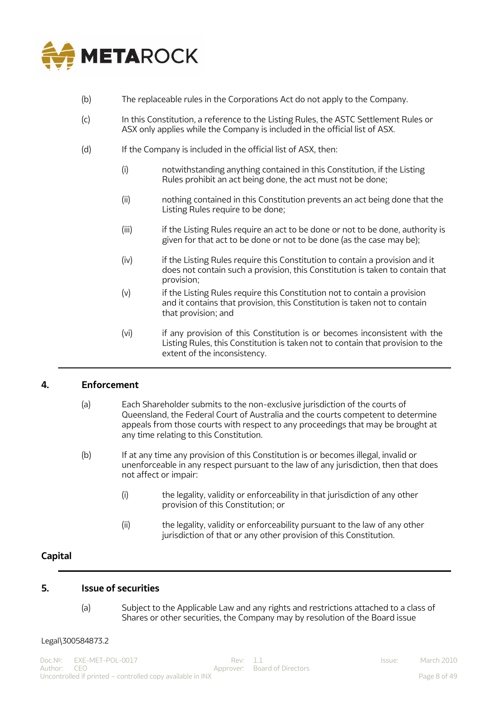

- (b) The replaceable rules in the Corporations Act do not apply to the Company.
- (c) In this Constitution, a reference to the Listing Rules, the ASTC Settlement Rules or ASX only applies while the Company is included in the official list of ASX.
- (d) If the Company is included in the official list of ASX, then:
	- (i) notwithstanding anything contained in this Constitution, if the Listing Rules prohibit an act being done, the act must not be done;
	- (ii) nothing contained in this Constitution prevents an act being done that the Listing Rules require to be done;
	- (iii) if the Listing Rules require an act to be done or not to be done, authority is given for that act to be done or not to be done (as the case may be);
	- (iv) if the Listing Rules require this Constitution to contain a provision and it does not contain such a provision, this Constitution is taken to contain that provision;
	- (v) if the Listing Rules require this Constitution not to contain a provision and it contains that provision, this Constitution is taken not to contain that provision; and
	- (vi) if any provision of this Constitution is or becomes inconsistent with the Listing Rules, this Constitution is taken not to contain that provision to the extent of the inconsistency.

## <span id="page-7-0"></span>**4. Enforcement**

- (a) Each Shareholder submits to the non-exclusive jurisdiction of the courts of Queensland, the Federal Court of Australia and the courts competent to determine appeals from those courts with respect to any proceedings that may be brought at any time relating to this Constitution.
- (b) If at any time any provision of this Constitution is or becomes illegal, invalid or unenforceable in any respect pursuant to the law of any jurisdiction, then that does not affect or impair:
	- (i) the legality, validity or enforceability in that jurisdiction of any other provision of this Constitution; or
	- (ii) the legality, validity or enforceability pursuant to the law of any other jurisdiction of that or any other provision of this Constitution.

## <span id="page-7-1"></span>**Capital**

#### <span id="page-7-2"></span>**5. Issue of securities**

(a) Subject to the Applicable Law and any rights and restrictions attached to a class of Shares or other securities, the Company may by resolution of the Board issue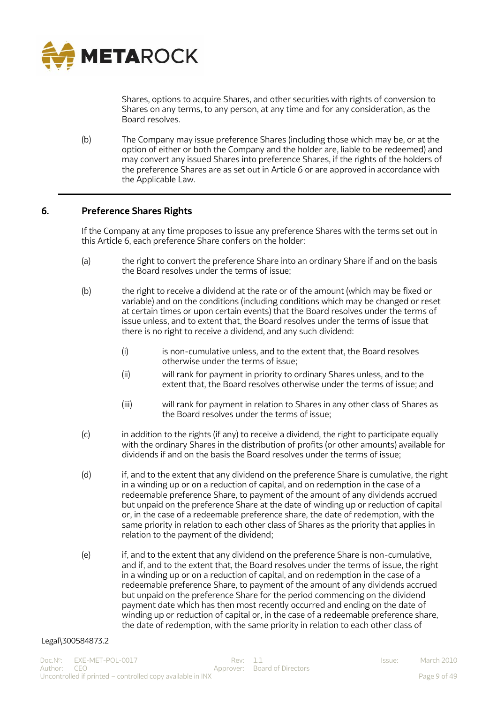

Shares, options to acquire Shares, and other securities with rights of conversion to Shares on any terms, to any person, at any time and for any consideration, as the Board resolves.

(b) The Company may issue preference Shares (including those which may be, or at the option of either or both the Company and the holder are, liable to be redeemed) and may convert any issued Shares into preference Shares, if the rights of the holders of the preference Shares are as set out in Article 6 or are approved in accordance with the Applicable Law.

## <span id="page-8-0"></span>**6. Preference Shares Rights**

If the Company at any time proposes to issue any preference Shares with the terms set out in this Article 6, each preference Share confers on the holder:

- (a) the right to convert the preference Share into an ordinary Share if and on the basis the Board resolves under the terms of issue;
- (b) the right to receive a dividend at the rate or of the amount (which may be fixed or variable) and on the conditions (including conditions which may be changed or reset at certain times or upon certain events) that the Board resolves under the terms of issue unless, and to extent that, the Board resolves under the terms of issue that there is no right to receive a dividend, and any such dividend:
	- (i) is non-cumulative unless, and to the extent that, the Board resolves otherwise under the terms of issue;
	- (ii) will rank for payment in priority to ordinary Shares unless, and to the extent that, the Board resolves otherwise under the terms of issue; and
	- (iii) will rank for payment in relation to Shares in any other class of Shares as the Board resolves under the terms of issue;
- (c) in addition to the rights (if any) to receive a dividend, the right to participate equally with the ordinary Shares in the distribution of profits (or other amounts) available for dividends if and on the basis the Board resolves under the terms of issue;
- (d) if, and to the extent that any dividend on the preference Share is cumulative, the right in a winding up or on a reduction of capital, and on redemption in the case of a redeemable preference Share, to payment of the amount of any dividends accrued but unpaid on the preference Share at the date of winding up or reduction of capital or, in the case of a redeemable preference share, the date of redemption, with the same priority in relation to each other class of Shares as the priority that applies in relation to the payment of the dividend;
- (e) if, and to the extent that any dividend on the preference Share is non-cumulative, and if, and to the extent that, the Board resolves under the terms of issue, the right in a winding up or on a reduction of capital, and on redemption in the case of a redeemable preference Share, to payment of the amount of any dividends accrued but unpaid on the preference Share for the period commencing on the dividend payment date which has then most recently occurred and ending on the date of winding up or reduction of capital or, in the case of a redeemable preference share, the date of redemption, with the same priority in relation to each other class of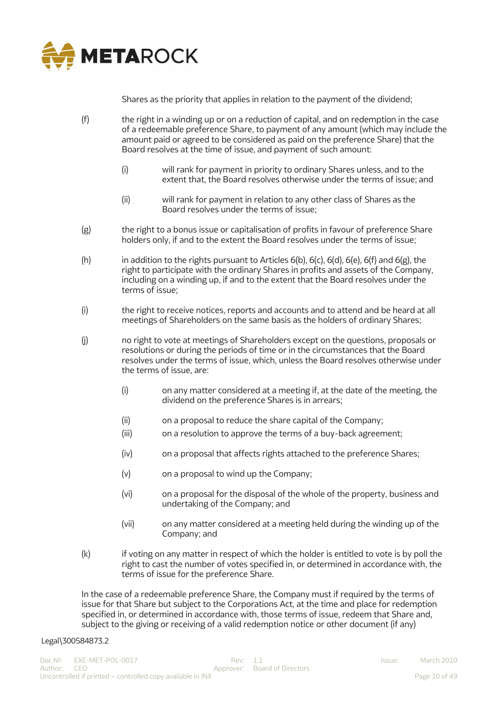

Shares as the priority that applies in relation to the payment of the dividend;

- (f) the right in a winding up or on a reduction of capital, and on redemption in the case of a redeemable preference Share, to payment of any amount (which may include the amount paid or agreed to be considered as paid on the preference Share) that the Board resolves at the time of issue, and payment of such amount:
	- (i) will rank for payment in priority to ordinary Shares unless, and to the extent that, the Board resolves otherwise under the terms of issue; and
	- (ii) will rank for payment in relation to any other class of Shares as the Board resolves under the terms of issue;
- (g) the right to a bonus issue or capitalisation of profits in favour of preference Share holders only, if and to the extent the Board resolves under the terms of issue;
- (h) in addition to the rights pursuant to Articles  $6(b)$ ,  $6(c)$ ,  $6(d)$ ,  $6(e)$ ,  $6(f)$  and  $6(g)$ , the right to participate with the ordinary Shares in profits and assets of the Company, including on a winding up, if and to the extent that the Board resolves under the terms of issue;
- (i) the right to receive notices, reports and accounts and to attend and be heard at all meetings of Shareholders on the same basis as the holders of ordinary Shares;
- (j) no right to vote at meetings of Shareholders except on the questions, proposals or resolutions or during the periods of time or in the circumstances that the Board resolves under the terms of issue, which, unless the Board resolves otherwise under the terms of issue, are:
	- (i) on any matter considered at a meeting if, at the date of the meeting, the dividend on the preference Shares is in arrears;
	- (ii) on a proposal to reduce the share capital of the Company;
	- (iii) on a resolution to approve the terms of a buy-back agreement;
	- (iv) on a proposal that affects rights attached to the preference Shares;
	- (v) on a proposal to wind up the Company;
	- (vi) on a proposal for the disposal of the whole of the property, business and undertaking of the Company; and
	- (vii) on any matter considered at a meeting held during the winding up of the Company; and
- (k) if voting on any matter in respect of which the holder is entitled to vote is by poll the right to cast the number of votes specified in, or determined in accordance with, the terms of issue for the preference Share.

In the case of a redeemable preference Share, the Company must if required by the terms of issue for that Share but subject to the Corporations Act, at the time and place for redemption specified in, or determined in accordance with, those terms of issue, redeem that Share and, subject to the giving or receiving of a valid redemption notice or other document (if any)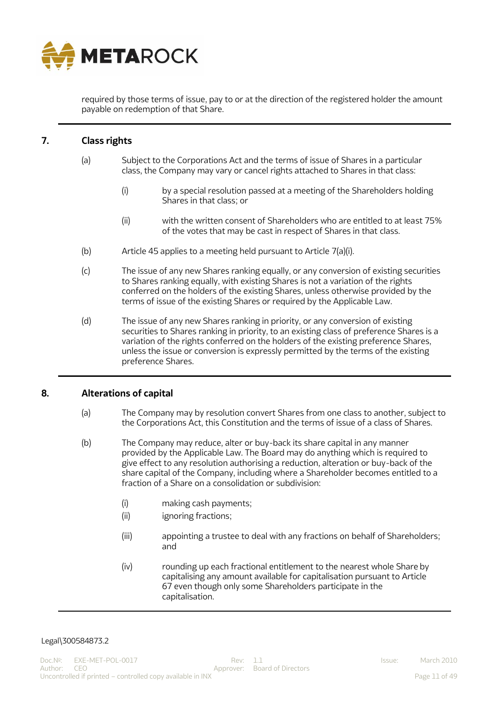

required by those terms of issue, pay to or at the direction of the registered holder the amount payable on redemption of that Share.

# <span id="page-10-0"></span>**7. Class rights**

- (a) Subject to the Corporations Act and the terms of issue of Shares in a particular class, the Company may vary or cancel rights attached to Shares in that class:
	- (i) by a special resolution passed at a meeting of the Shareholders holding Shares in that class; or
	- (ii) with the written consent of Shareholders who are entitled to at least 75% of the votes that may be cast in respect of Shares in that class.
- (b) Article 45 applies to a meeting held pursuant to Article 7(a)(i).
- (c) The issue of any new Shares ranking equally, or any conversion of existing securities to Shares ranking equally, with existing Shares is not a variation of the rights conferred on the holders of the existing Shares, unless otherwise provided by the terms of issue of the existing Shares or required by the Applicable Law.
- (d) The issue of any new Shares ranking in priority, or any conversion of existing securities to Shares ranking in priority, to an existing class of preference Shares is a variation of the rights conferred on the holders of the existing preference Shares, unless the issue or conversion is expressly permitted by the terms of the existing preference Shares.

#### <span id="page-10-1"></span>**8. Alterations of capital**

- (a) The Company may by resolution convert Shares from one class to another, subject to the Corporations Act, this Constitution and the terms of issue of a class of Shares.
- (b) The Company may reduce, alter or buy-back its share capital in any manner provided by the Applicable Law. The Board may do anything which is required to give effect to any resolution authorising a reduction, alteration or buy-back of the share capital of the Company, including where a Shareholder becomes entitled to a fraction of a Share on a consolidation or subdivision:
	- (i) making cash payments;
	- (ii) ignoring fractions;
	- (iii) appointing a trustee to deal with any fractions on behalf of Shareholders; and
	- (iv) rounding up each fractional entitlement to the nearest whole Share by capitalising any amount available for capitalisation pursuant to Article 67 even though only some Shareholders participate in the capitalisation.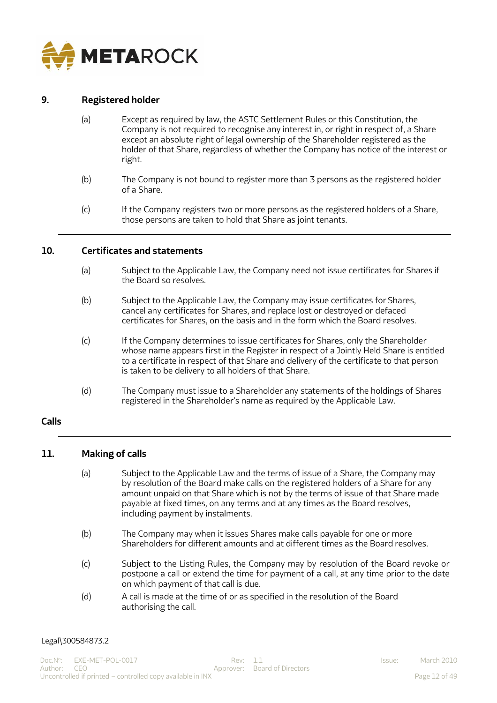

## <span id="page-11-0"></span>**9. Registered holder**

- (a) Except as required by law, the ASTC Settlement Rules or this Constitution, the Company is not required to recognise any interest in, or right in respect of, a Share except an absolute right of legal ownership of the Shareholder registered as the holder of that Share, regardless of whether the Company has notice of the interest or right.
- (b) The Company is not bound to register more than 3 persons as the registered holder of a Share.
- (c) If the Company registers two or more persons as the registered holders of a Share, those persons are taken to hold that Share as joint tenants.

#### <span id="page-11-1"></span>**10. Certificates and statements**

- (a) Subject to the Applicable Law, the Company need not issue certificates for Shares if the Board so resolves.
- (b) Subject to the Applicable Law, the Company may issue certificates for Shares, cancel any certificates for Shares, and replace lost or destroyed or defaced certificates for Shares, on the basis and in the form which the Board resolves.
- (c) If the Company determines to issue certificates for Shares, only the Shareholder whose name appears first in the Register in respect of a Jointly Held Share is entitled to a certificate in respect of that Share and delivery of the certificate to that person is taken to be delivery to all holders of that Share.
- (d) The Company must issue to a Shareholder any statements of the holdings of Shares registered in the Shareholder's name as required by the Applicable Law.

#### <span id="page-11-2"></span>**Calls**

## <span id="page-11-3"></span>**11. Making of calls**

- (a) Subject to the Applicable Law and the terms of issue of a Share, the Company may by resolution of the Board make calls on the registered holders of a Share for any amount unpaid on that Share which is not by the terms of issue of that Share made payable at fixed times, on any terms and at any times as the Board resolves, including payment by instalments.
- (b) The Company may when it issues Shares make calls payable for one or more Shareholders for different amounts and at different times as the Board resolves.
- (c) Subject to the Listing Rules, the Company may by resolution of the Board revoke or postpone a call or extend the time for payment of a call, at any time prior to the date on which payment of that call is due.
- (d) A call is made at the time of or as specified in the resolution of the Board authorising the call.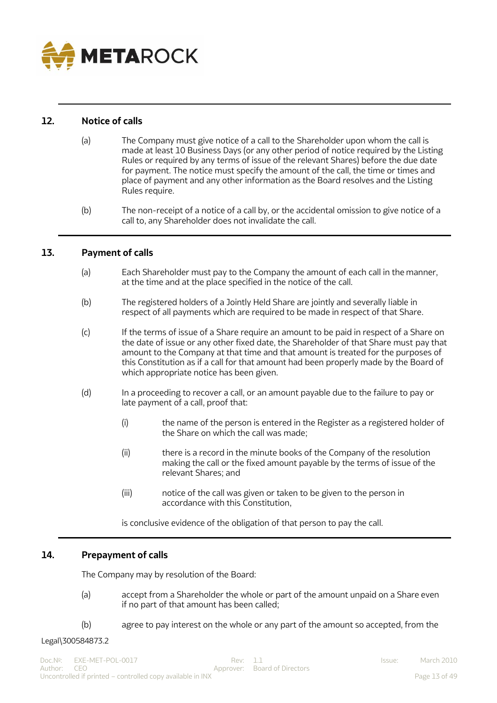

## <span id="page-12-0"></span>**12. Notice of calls**

- (a) The Company must give notice of a call to the Shareholder upon whom the call is made at least 10 Business Days (or any other period of notice required by the Listing Rules or required by any terms of issue of the relevant Shares) before the due date for payment. The notice must specify the amount of the call, the time or times and place of payment and any other information as the Board resolves and the Listing Rules require.
- (b) The non-receipt of a notice of a call by, or the accidental omission to give notice of a call to, any Shareholder does not invalidate the call.

## <span id="page-12-1"></span>**13. Payment of calls**

- (a) Each Shareholder must pay to the Company the amount of each call in the manner, at the time and at the place specified in the notice of the call.
- (b) The registered holders of a Jointly Held Share are jointly and severally liable in respect of all payments which are required to be made in respect of that Share.
- (c) If the terms of issue of a Share require an amount to be paid in respect of a Share on the date of issue or any other fixed date, the Shareholder of that Share must pay that amount to the Company at that time and that amount is treated for the purposes of this Constitution as if a call for that amount had been properly made by the Board of which appropriate notice has been given.
- (d) In a proceeding to recover a call, or an amount payable due to the failure to pay or late payment of a call, proof that:
	- (i) the name of the person is entered in the Register as a registered holder of the Share on which the call was made;
	- (ii) there is a record in the minute books of the Company of the resolution making the call or the fixed amount payable by the terms of issue of the relevant Shares; and
	- (iii) notice of the call was given or taken to be given to the person in accordance with this Constitution,

is conclusive evidence of the obligation of that person to pay the call.

# <span id="page-12-2"></span>**14. Prepayment of calls**

The Company may by resolution of the Board:

- (a) accept from a Shareholder the whole or part of the amount unpaid on a Share even if no part of that amount has been called;
- (b) agree to pay interest on the whole or any part of the amount so accepted, from the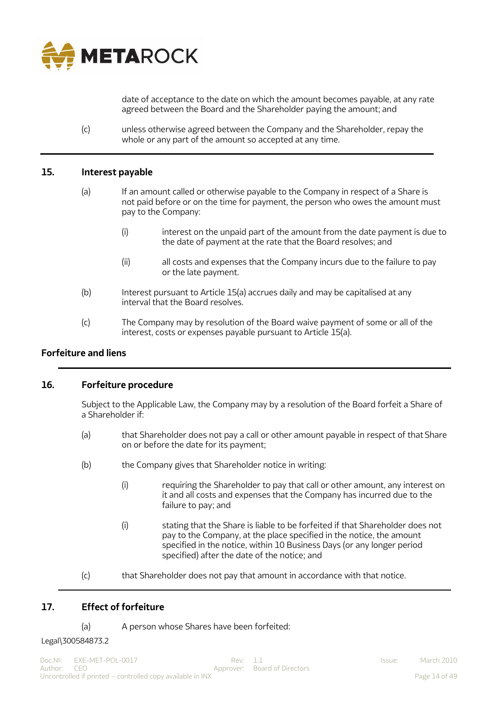

<span id="page-13-0"></span>date of acceptance to the date on which the amount becomes payable, at any rate agreed between the Board and the Shareholder paying the amount; and

(c) unless otherwise agreed between the Company and the Shareholder, repay the whole or any part of the amount so accepted at any time.

#### **15. Interest payable**

- (a) If an amount called or otherwise payable to the Company in respect of a Share is not paid before or on the time for payment, the person who owes the amount must pay to the Company:
	- (i) interest on the unpaid part of the amount from the date payment is due to the date of payment at the rate that the Board resolves; and
	- (ii) all costs and expenses that the Company incurs due to the failure to pay or the late payment.
- (b) Interest pursuant to Article 15(a) accrues daily and may be capitalised at any interval that the Board resolves.
- (c) The Company may by resolution of the Board waive payment of some or all of the interest, costs or expenses payable pursuant to Article 15(a).

## <span id="page-13-1"></span>**Forfeiture and liens**

#### <span id="page-13-2"></span>**16. Forfeiture procedure**

Subject to the Applicable Law, the Company may by a resolution of the Board forfeit a Share of a Shareholder if:

- (a) that Shareholder does not pay a call or other amount payable in respect of that Share on or before the date for its payment;
- (b) the Company gives that Shareholder notice in writing:
	- (i) requiring the Shareholder to pay that call or other amount, any interest on it and all costs and expenses that the Company has incurred due to the failure to pay; and
	- (i) stating that the Share is liable to be forfeited if that Shareholder does not pay to the Company, at the place specified in the notice, the amount specified in the notice, within 10 Business Days (or any longer period specified) after the date of the notice; and

(c) that Shareholder does not pay that amount in accordance with that notice.

## <span id="page-13-3"></span>**17. Effect of forfeiture**

(a) A person whose Shares have been forfeited: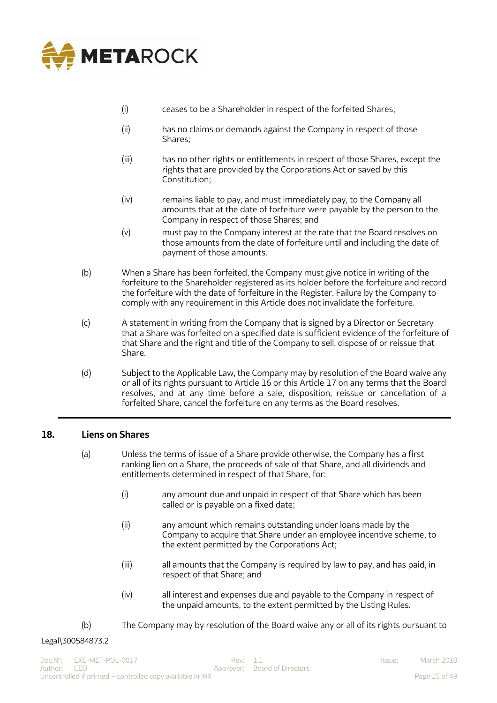

- (i) ceases to be a Shareholder in respect of the forfeited Shares;
- (ii) has no claims or demands against the Company in respect of those Shares;
- (iii) has no other rights or entitlements in respect of those Shares, except the rights that are provided by the Corporations Act or saved by this Constitution;
- (iv) remains liable to pay, and must immediately pay, to the Company all amounts that at the date of forfeiture were payable by the person to the Company in respect of those Shares; and
- (v) must pay to the Company interest at the rate that the Board resolves on those amounts from the date of forfeiture until and including the date of payment of those amounts.
- (b) When a Share has been forfeited, the Company must give notice in writing of the forfeiture to the Shareholder registered as its holder before the forfeiture and record the forfeiture with the date of forfeiture in the Register. Failure by the Company to comply with any requirement in this Article does not invalidate the forfeiture.
- (c) A statement in writing from the Company that is signed by a Director or Secretary that a Share was forfeited on a specified date is sufficient evidence of the forfeiture of that Share and the right and title of the Company to sell, dispose of or reissue that Share.
- (d) Subject to the Applicable Law, the Company may by resolution of the Board waive any or all of its rights pursuant to Article 16 or this Article 17 on any terms that the Board resolves, and at any time before a sale, disposition, reissue or cancellation of a forfeited Share, cancel the forfeiture on any terms as the Board resolves.

# <span id="page-14-0"></span>**18. Liens on Shares**

- (a) Unless the terms of issue of a Share provide otherwise, the Company has a first ranking lien on a Share, the proceeds of sale of that Share, and all dividends and entitlements determined in respect of that Share, for:
	- (i) any amount due and unpaid in respect of that Share which has been called or is payable on a fixed date;
	- (ii) any amount which remains outstanding under loans made by the Company to acquire that Share under an employee incentive scheme, to the extent permitted by the Corporations Act;
	- (iii) all amounts that the Company is required by law to pay, and has paid, in respect of that Share; and
	- (iv) all interest and expenses due and payable to the Company in respect of the unpaid amounts, to the extent permitted by the Listing Rules.
- (b) The Company may by resolution of the Board waive any or all of its rights pursuant to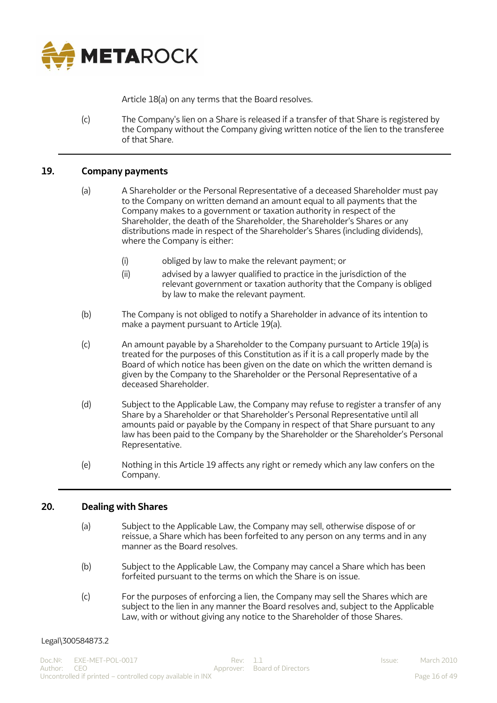

Article 18(a) on any terms that the Board resolves.

(c) The Company's lien on a Share is released if a transfer of that Share is registered by the Company without the Company giving written notice of the lien to the transferee of that Share.

## <span id="page-15-0"></span>**19. Company payments**

- (a) A Shareholder or the Personal Representative of a deceased Shareholder must pay to the Company on written demand an amount equal to all payments that the Company makes to a government or taxation authority in respect of the Shareholder, the death of the Shareholder, the Shareholder's Shares or any distributions made in respect of the Shareholder's Shares (including dividends), where the Company is either:
	- (i) obliged by law to make the relevant payment; or
	- (ii) advised by a lawyer qualified to practice in the jurisdiction of the relevant government or taxation authority that the Company is obliged by law to make the relevant payment.
- (b) The Company is not obliged to notify a Shareholder in advance of its intention to make a payment pursuant to Article 19(a).
- (c) An amount payable by a Shareholder to the Company pursuant to Article 19(a) is treated for the purposes of this Constitution as if it is a call properly made by the Board of which notice has been given on the date on which the written demand is given by the Company to the Shareholder or the Personal Representative of a deceased Shareholder.
- (d) Subject to the Applicable Law, the Company may refuse to register a transfer of any Share by a Shareholder or that Shareholder's Personal Representative until all amounts paid or payable by the Company in respect of that Share pursuant to any law has been paid to the Company by the Shareholder or the Shareholder's Personal Representative.
- (e) Nothing in this Article 19 affects any right or remedy which any law confers on the Company.

## <span id="page-15-1"></span>**20. Dealing with Shares**

- (a) Subject to the Applicable Law, the Company may sell, otherwise dispose of or reissue, a Share which has been forfeited to any person on any terms and in any manner as the Board resolves.
- (b) Subject to the Applicable Law, the Company may cancel a Share which has been forfeited pursuant to the terms on which the Share is on issue.
- (c) For the purposes of enforcing a lien, the Company may sell the Shares which are subject to the lien in any manner the Board resolves and, subject to the Applicable Law, with or without giving any notice to the Shareholder of those Shares.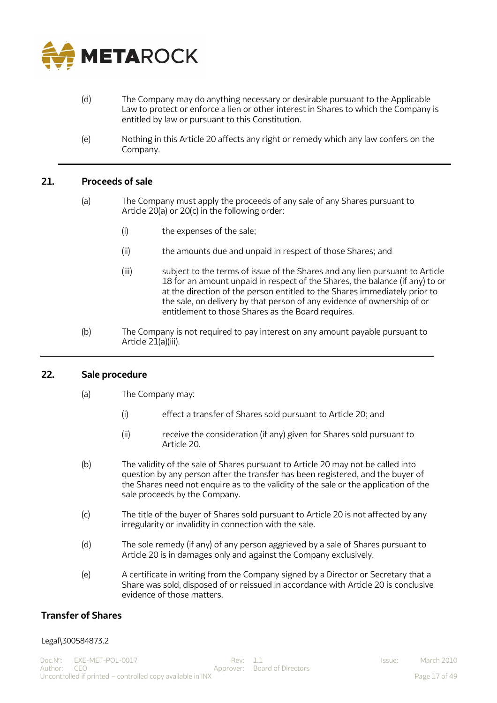

- (d) The Company may do anything necessary or desirable pursuant to the Applicable Law to protect or enforce a lien or other interest in Shares to which the Company is entitled by law or pursuant to this Constitution.
- (e) Nothing in this Article 20 affects any right or remedy which any law confers on the Company.

## <span id="page-16-0"></span>**21. Proceeds of sale**

- (a) The Company must apply the proceeds of any sale of any Shares pursuant to Article 20(a) or 20(c) in the following order:
	- (i) the expenses of the sale;
	- (ii) the amounts due and unpaid in respect of those Shares; and
	- (iii) subject to the terms of issue of the Shares and any lien pursuant to Article 18 for an amount unpaid in respect of the Shares, the balance (if any) to or at the direction of the person entitled to the Shares immediately prior to the sale, on delivery by that person of any evidence of ownership of or entitlement to those Shares as the Board requires.
- (b) The Company is not required to pay interest on any amount payable pursuant to Article 21(a)(iii).

#### <span id="page-16-1"></span>**22. Sale procedure**

- (a) The Company may:
	- (i) effect a transfer of Shares sold pursuant to Article 20; and
	- (ii) receive the consideration (if any) given for Shares sold pursuant to Article 20.
- (b) The validity of the sale of Shares pursuant to Article 20 may not be called into question by any person after the transfer has been registered, and the buyer of the Shares need not enquire as to the validity of the sale or the application of the sale proceeds by the Company.
- (c) The title of the buyer of Shares sold pursuant to Article 20 is not affected by any irregularity or invalidity in connection with the sale.
- (d) The sole remedy (if any) of any person aggrieved by a sale of Shares pursuant to Article 20 is in damages only and against the Company exclusively.
- (e) A certificate in writing from the Company signed by a Director or Secretary that a Share was sold, disposed of or reissued in accordance with Article 20 is conclusive evidence of those matters.

## <span id="page-16-2"></span>**Transfer of Shares**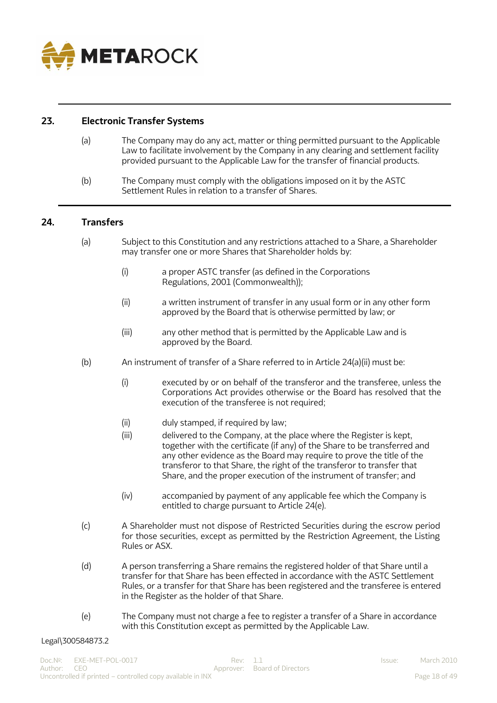

## <span id="page-17-0"></span>**23. Electronic Transfer Systems**

- (a) The Company may do any act, matter or thing permitted pursuant to the Applicable Law to facilitate involvement by the Company in any clearing and settlement facility provided pursuant to the Applicable Law for the transfer of financial products.
- (b) The Company must comply with the obligations imposed on it by the ASTC Settlement Rules in relation to a transfer of Shares.

## <span id="page-17-1"></span>**24. Transfers**

- (a) Subject to this Constitution and any restrictions attached to a Share, a Shareholder may transfer one or more Shares that Shareholder holds by:
	- (i) a proper ASTC transfer (as defined in the Corporations Regulations, 2001 (Commonwealth));
	- (ii) a written instrument of transfer in any usual form or in any other form approved by the Board that is otherwise permitted by law; or
	- (iii) any other method that is permitted by the Applicable Law and is approved by the Board.
- (b) An instrument of transfer of a Share referred to in Article  $24(a)(ii)$  must be:
	- (i) executed by or on behalf of the transferor and the transferee, unless the Corporations Act provides otherwise or the Board has resolved that the execution of the transferee is not required;
	- (ii) duly stamped, if required by law;
	- (iii) delivered to the Company, at the place where the Register is kept, together with the certificate (if any) of the Share to be transferred and any other evidence as the Board may require to prove the title of the transferor to that Share, the right of the transferor to transfer that Share, and the proper execution of the instrument of transfer; and
	- (iv) accompanied by payment of any applicable fee which the Company is entitled to charge pursuant to Article 24(e).
- (c) A Shareholder must not dispose of Restricted Securities during the escrow period for those securities, except as permitted by the Restriction Agreement, the Listing Rules or ASX.
- (d) A person transferring a Share remains the registered holder of that Share until a transfer for that Share has been effected in accordance with the ASTC Settlement Rules, or a transfer for that Share has been registered and the transferee is entered in the Register as the holder of that Share.
- (e) The Company must not charge a fee to register a transfer of a Share in accordance with this Constitution except as permitted by the Applicable Law.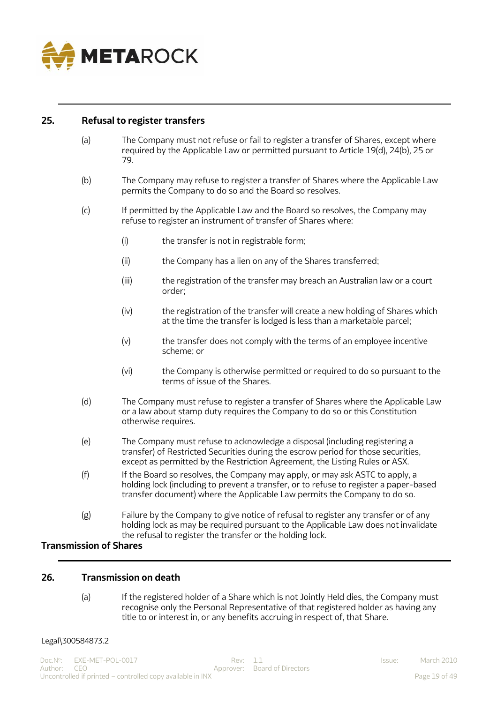

#### <span id="page-18-0"></span>**25. Refusal to register transfers**

- (a) The Company must not refuse or fail to register a transfer of Shares, except where required by the Applicable Law or permitted pursuant to Article 19(d), 24(b), 25 or 79.
- (b) The Company may refuse to register a transfer of Shares where the Applicable Law permits the Company to do so and the Board so resolves.
- (c) If permitted by the Applicable Law and the Board so resolves, the Company may refuse to register an instrument of transfer of Shares where:
	- (i) the transfer is not in registrable form;
	- (ii) the Company has a lien on any of the Shares transferred;
	- (iii) the registration of the transfer may breach an Australian law or a court order;
	- (iv) the registration of the transfer will create a new holding of Shares which at the time the transfer is lodged is less than a marketable parcel;
	- (v) the transfer does not comply with the terms of an employee incentive scheme; or
	- (vi) the Company is otherwise permitted or required to do so pursuant to the terms of issue of the Shares.
- (d) The Company must refuse to register a transfer of Shares where the Applicable Law or a law about stamp duty requires the Company to do so or this Constitution otherwise requires.
- (e) The Company must refuse to acknowledge a disposal (including registering a transfer) of Restricted Securities during the escrow period for those securities, except as permitted by the Restriction Agreement, the Listing Rules or ASX.
- (f) If the Board so resolves, the Company may apply, or may ask ASTC to apply, a holding lock (including to prevent a transfer, or to refuse to register a paper-based transfer document) where the Applicable Law permits the Company to do so.
- (g) Failure by the Company to give notice of refusal to register any transfer or of any holding lock as may be required pursuant to the Applicable Law does not invalidate the refusal to register the transfer or the holding lock.

# <span id="page-18-1"></span>**Transmission of Shares**

#### <span id="page-18-2"></span>**26. Transmission on death**

(a) If the registered holder of a Share which is not Jointly Held dies, the Company must recognise only the Personal Representative of that registered holder as having any title to or interest in, or any benefits accruing in respect of, that Share.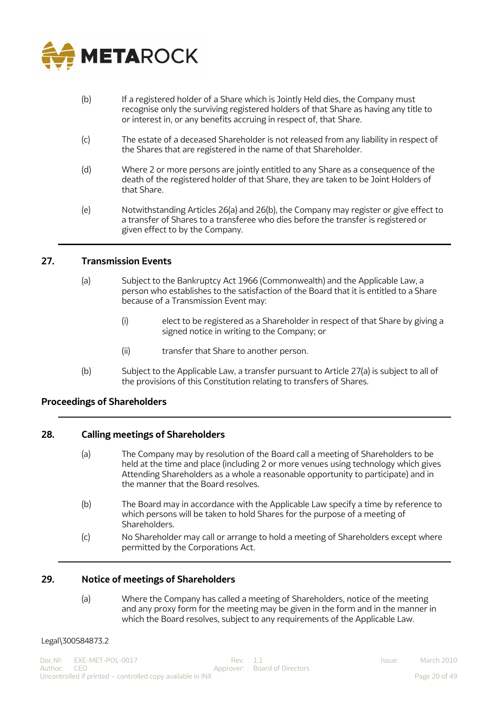

- (b) If a registered holder of a Share which is Jointly Held dies, the Company must recognise only the surviving registered holders of that Share as having any title to or interest in, or any benefits accruing in respect of, that Share.
- (c) The estate of a deceased Shareholder is not released from any liability in respect of the Shares that are registered in the name of that Shareholder.
- (d) Where 2 or more persons are jointly entitled to any Share as a consequence of the death of the registered holder of that Share, they are taken to be Joint Holders of that Share.
- (e) Notwithstanding Articles 26(a) and 26(b), the Company may register or give effect to a transfer of Shares to a transferee who dies before the transfer is registered or given effect to by the Company.

#### <span id="page-19-0"></span>**27. Transmission Events**

- (a) Subject to the Bankruptcy Act 1966 (Commonwealth) and the Applicable Law, a person who establishes to the satisfaction of the Board that it is entitled to a Share because of a Transmission Event may:
	- (i) elect to be registered as a Shareholder in respect of that Share by giving a signed notice in writing to the Company; or
	- (ii) transfer that Share to another person.
- (b) Subject to the Applicable Law, a transfer pursuant to Article 27(a) is subject to all of the provisions of this Constitution relating to transfers of Shares.

## <span id="page-19-1"></span>**Proceedings of Shareholders**

#### <span id="page-19-2"></span>**28. Calling meetings of Shareholders**

- (a) The Company may by resolution of the Board call a meeting of Shareholders to be held at the time and place (including 2 or more venues using technology which gives Attending Shareholders as a whole a reasonable opportunity to participate) and in the manner that the Board resolves.
- (b) The Board may in accordance with the Applicable Law specify a time by reference to which persons will be taken to hold Shares for the purpose of a meeting of **Shareholders**
- (c) No Shareholder may call or arrange to hold a meeting of Shareholders except where permitted by the Corporations Act.

#### <span id="page-19-3"></span>**29. Notice of meetings of Shareholders**

(a) Where the Company has called a meeting of Shareholders, notice of the meeting and any proxy form for the meeting may be given in the form and in the manner in which the Board resolves, subject to any requirements of the Applicable Law.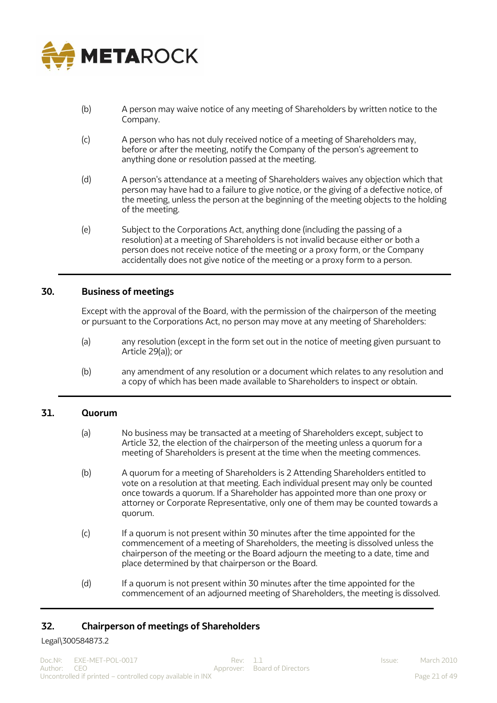

- (b) A person may waive notice of any meeting of Shareholders by written notice to the Company.
- (c) A person who has not duly received notice of a meeting of Shareholders may, before or after the meeting, notify the Company of the person's agreement to anything done or resolution passed at the meeting.
- (d) A person's attendance at a meeting of Shareholders waives any objection which that person may have had to a failure to give notice, or the giving of a defective notice, of the meeting, unless the person at the beginning of the meeting objects to the holding of the meeting.
- (e) Subject to the Corporations Act, anything done (including the passing of a resolution) at a meeting of Shareholders is not invalid because either or both a person does not receive notice of the meeting or a proxy form, or the Company accidentally does not give notice of the meeting or a proxy form to a person.

## <span id="page-20-0"></span>**30. Business of meetings**

Except with the approval of the Board, with the permission of the chairperson of the meeting or pursuant to the Corporations Act, no person may move at any meeting of Shareholders:

- (a) any resolution (except in the form set out in the notice of meeting given pursuant to Article 29(a)); or
- (b) any amendment of any resolution or a document which relates to any resolution and a copy of which has been made available to Shareholders to inspect or obtain.

#### <span id="page-20-1"></span>**31. Quorum**

- (a) No business may be transacted at a meeting of Shareholders except, subject to Article 32, the election of the chairperson of the meeting unless a quorum for a meeting of Shareholders is present at the time when the meeting commences.
- (b) A quorum for a meeting of Shareholders is 2 Attending Shareholders entitled to vote on a resolution at that meeting. Each individual present may only be counted once towards a quorum. If a Shareholder has appointed more than one proxy or attorney or Corporate Representative, only one of them may be counted towards a quorum.
- (c) If a quorum is not present within 30 minutes after the time appointed for the commencement of a meeting of Shareholders, the meeting is dissolved unless the chairperson of the meeting or the Board adjourn the meeting to a date, time and place determined by that chairperson or the Board.
- (d) If a quorum is not present within 30 minutes after the time appointed for the commencement of an adjourned meeting of Shareholders, the meeting is dissolved.

## <span id="page-20-2"></span>**32. Chairperson of meetings of Shareholders**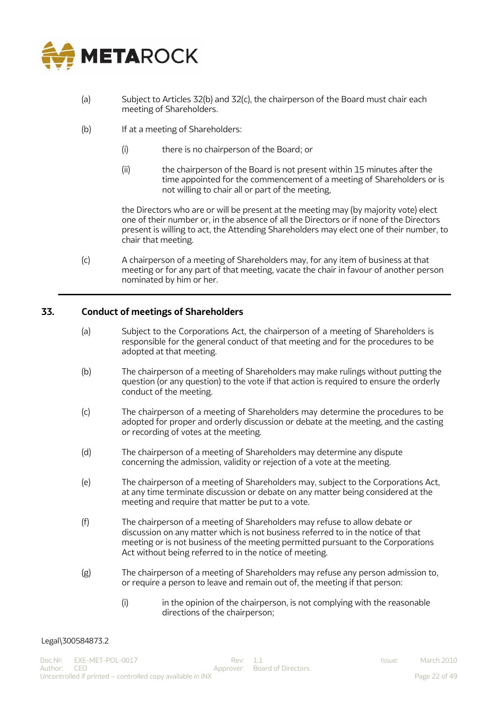

- (a) Subject to Articles 32(b) and 32(c), the chairperson of the Board must chair each meeting of Shareholders.
- (b) If at a meeting of Shareholders:
	- (i) there is no chairperson of the Board; or
	- (ii) the chairperson of the Board is not present within 15 minutes after the time appointed for the commencement of a meeting of Shareholders or is not willing to chair all or part of the meeting,

the Directors who are or will be present at the meeting may (by majority vote) elect one of their number or, in the absence of all the Directors or if none of the Directors present is willing to act, the Attending Shareholders may elect one of their number, to chair that meeting.

(c) A chairperson of a meeting of Shareholders may, for any item of business at that meeting or for any part of that meeting, vacate the chair in favour of another person nominated by him or her.

## <span id="page-21-0"></span>**33. Conduct of meetings of Shareholders**

- (a) Subject to the Corporations Act, the chairperson of a meeting of Shareholders is responsible for the general conduct of that meeting and for the procedures to be adopted at that meeting.
- (b) The chairperson of a meeting of Shareholders may make rulings without putting the question (or any question) to the vote if that action is required to ensure the orderly conduct of the meeting.
- (c) The chairperson of a meeting of Shareholders may determine the procedures to be adopted for proper and orderly discussion or debate at the meeting, and the casting or recording of votes at the meeting.
- (d) The chairperson of a meeting of Shareholders may determine any dispute concerning the admission, validity or rejection of a vote at the meeting.
- (e) The chairperson of a meeting of Shareholders may, subject to the Corporations Act, at any time terminate discussion or debate on any matter being considered at the meeting and require that matter be put to a vote.
- (f) The chairperson of a meeting of Shareholders may refuse to allow debate or discussion on any matter which is not business referred to in the notice of that meeting or is not business of the meeting permitted pursuant to the Corporations Act without being referred to in the notice of meeting.
- (g) The chairperson of a meeting of Shareholders may refuse any person admission to, or require a person to leave and remain out of, the meeting if that person:
	- (i) in the opinion of the chairperson, is not complying with the reasonable directions of the chairperson;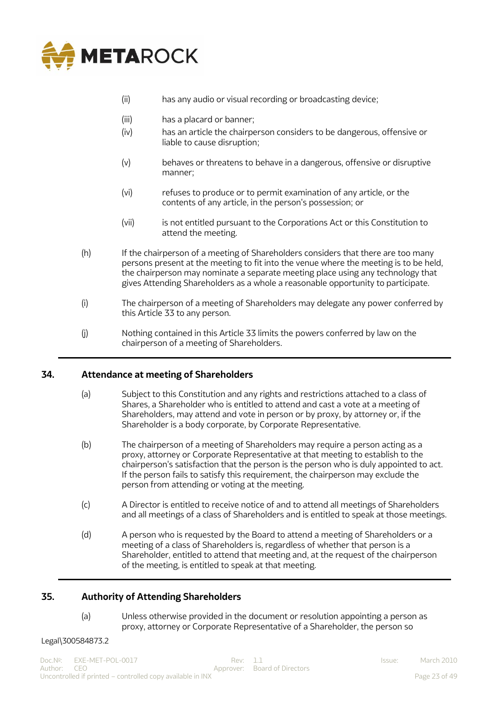

- (ii) has any audio or visual recording or broadcasting device;
- (iii) has a placard or banner;
- (iv) has an article the chairperson considers to be dangerous, offensive or liable to cause disruption;
- (v) behaves or threatens to behave in a dangerous, offensive or disruptive manner;
- (vi) refuses to produce or to permit examination of any article, or the contents of any article, in the person's possession; or
- (vii) is not entitled pursuant to the Corporations Act or this Constitution to attend the meeting.
- (h) If the chairperson of a meeting of Shareholders considers that there are too many persons present at the meeting to fit into the venue where the meeting is to be held, the chairperson may nominate a separate meeting place using any technology that gives Attending Shareholders as a whole a reasonable opportunity to participate.
- (i) The chairperson of a meeting of Shareholders may delegate any power conferred by this Article 33 to any person.
- (j) Nothing contained in this Article 33 limits the powers conferred by law on the chairperson of a meeting of Shareholders.

## <span id="page-22-0"></span>**34. Attendance at meeting of Shareholders**

- (a) Subject to this Constitution and any rights and restrictions attached to a class of Shares, a Shareholder who is entitled to attend and cast a vote at a meeting of Shareholders, may attend and vote in person or by proxy, by attorney or, if the Shareholder is a body corporate, by Corporate Representative.
- (b) The chairperson of a meeting of Shareholders may require a person acting as a proxy, attorney or Corporate Representative at that meeting to establish to the chairperson's satisfaction that the person is the person who is duly appointed to act. If the person fails to satisfy this requirement, the chairperson may exclude the person from attending or voting at the meeting.
- (c) A Director is entitled to receive notice of and to attend all meetings of Shareholders and all meetings of a class of Shareholders and is entitled to speak at those meetings.
- (d) A person who is requested by the Board to attend a meeting of Shareholders or a meeting of a class of Shareholders is, regardless of whether that person is a Shareholder, entitled to attend that meeting and, at the request of the chairperson of the meeting, is entitled to speak at that meeting.

## <span id="page-22-1"></span>**35. Authority of Attending Shareholders**

(a) Unless otherwise provided in the document or resolution appointing a person as proxy, attorney or Corporate Representative of a Shareholder, the person so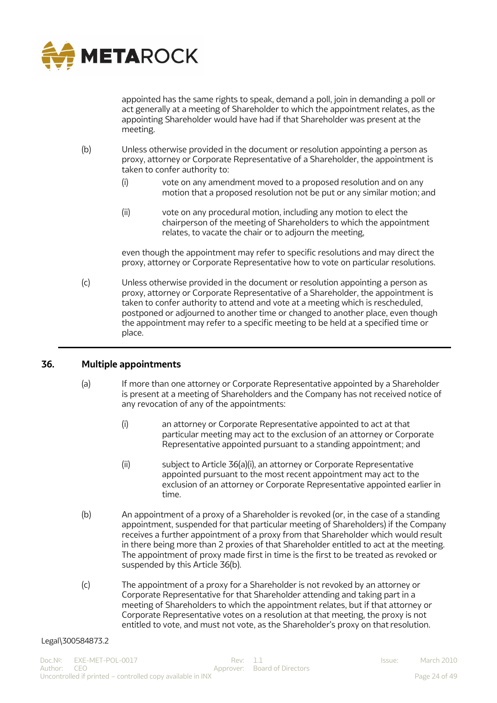

appointed has the same rights to speak, demand a poll, join in demanding a poll or act generally at a meeting of Shareholder to which the appointment relates, as the appointing Shareholder would have had if that Shareholder was present at the meeting.

- (b) Unless otherwise provided in the document or resolution appointing a person as proxy, attorney or Corporate Representative of a Shareholder, the appointment is taken to confer authority to:
	- (i) vote on any amendment moved to a proposed resolution and on any motion that a proposed resolution not be put or any similar motion; and
	- (ii) vote on any procedural motion, including any motion to elect the chairperson of the meeting of Shareholders to which the appointment relates, to vacate the chair or to adjourn the meeting,

even though the appointment may refer to specific resolutions and may direct the proxy, attorney or Corporate Representative how to vote on particular resolutions.

(c) Unless otherwise provided in the document or resolution appointing a person as proxy, attorney or Corporate Representative of a Shareholder, the appointment is taken to confer authority to attend and vote at a meeting which is rescheduled, postponed or adjourned to another time or changed to another place, even though the appointment may refer to a specific meeting to be held at a specified time or place.

## <span id="page-23-0"></span>**36. Multiple appointments**

- (a) If more than one attorney or Corporate Representative appointed by a Shareholder is present at a meeting of Shareholders and the Company has not received notice of any revocation of any of the appointments:
	- (i) an attorney or Corporate Representative appointed to act at that particular meeting may act to the exclusion of an attorney or Corporate Representative appointed pursuant to a standing appointment; and
	- (ii) subject to Article 36(a)(i), an attorney or Corporate Representative appointed pursuant to the most recent appointment may act to the exclusion of an attorney or Corporate Representative appointed earlier in time.
- (b) An appointment of a proxy of a Shareholder is revoked (or, in the case of a standing appointment, suspended for that particular meeting of Shareholders) if the Company receives a further appointment of a proxy from that Shareholder which would result in there being more than 2 proxies of that Shareholder entitled to act at the meeting. The appointment of proxy made first in time is the first to be treated as revoked or suspended by this Article 36(b).
- (c) The appointment of a proxy for a Shareholder is not revoked by an attorney or Corporate Representative for that Shareholder attending and taking part in a meeting of Shareholders to which the appointment relates, but if that attorney or Corporate Representative votes on a resolution at that meeting, the proxy is not entitled to vote, and must not vote, as the Shareholder's proxy on that resolution.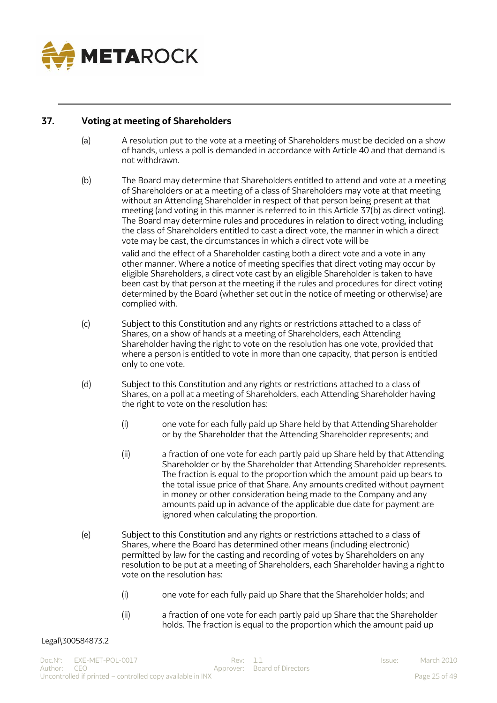

# <span id="page-24-0"></span>**37. Voting at meeting of Shareholders**

- (a) A resolution put to the vote at a meeting of Shareholders must be decided on a show of hands, unless a poll is demanded in accordance with Article 40 and that demand is not withdrawn.
- (b) The Board may determine that Shareholders entitled to attend and vote at a meeting of Shareholders or at a meeting of a class of Shareholders may vote at that meeting without an Attending Shareholder in respect of that person being present at that meeting (and voting in this manner is referred to in this Article 37(b) as direct voting). The Board may determine rules and procedures in relation to direct voting, including the class of Shareholders entitled to cast a direct vote, the manner in which a direct vote may be cast, the circumstances in which a direct vote will be

valid and the effect of a Shareholder casting both a direct vote and a vote in any other manner. Where a notice of meeting specifies that direct voting may occur by eligible Shareholders, a direct vote cast by an eligible Shareholder is taken to have been cast by that person at the meeting if the rules and procedures for direct voting determined by the Board (whether set out in the notice of meeting or otherwise) are complied with.

- (c) Subject to this Constitution and any rights or restrictions attached to a class of Shares, on a show of hands at a meeting of Shareholders, each Attending Shareholder having the right to vote on the resolution has one vote, provided that where a person is entitled to vote in more than one capacity, that person is entitled only to one vote.
- (d) Subject to this Constitution and any rights or restrictions attached to a class of Shares, on a poll at a meeting of Shareholders, each Attending Shareholder having the right to vote on the resolution has:
	- (i) one vote for each fully paid up Share held by that Attending Shareholder or by the Shareholder that the Attending Shareholder represents; and
	- (ii) a fraction of one vote for each partly paid up Share held by that Attending Shareholder or by the Shareholder that Attending Shareholder represents. The fraction is equal to the proportion which the amount paid up bears to the total issue price of that Share. Any amounts credited without payment in money or other consideration being made to the Company and any amounts paid up in advance of the applicable due date for payment are ignored when calculating the proportion.
- (e) Subject to this Constitution and any rights or restrictions attached to a class of Shares, where the Board has determined other means (including electronic) permitted by law for the casting and recording of votes by Shareholders on any resolution to be put at a meeting of Shareholders, each Shareholder having a right to vote on the resolution has:
	- (i) one vote for each fully paid up Share that the Shareholder holds; and
	- (ii) a fraction of one vote for each partly paid up Share that the Shareholder holds. The fraction is equal to the proportion which the amount paid up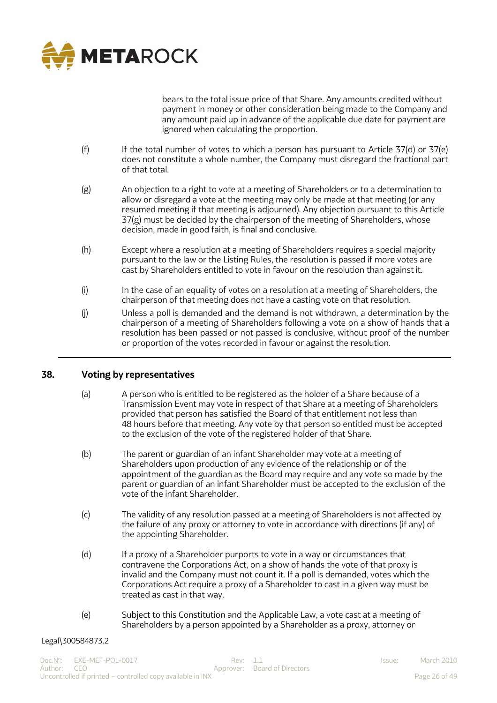

bears to the total issue price of that Share. Any amounts credited without payment in money or other consideration being made to the Company and any amount paid up in advance of the applicable due date for payment are ignored when calculating the proportion.

- (f) If the total number of votes to which a person has pursuant to Article 37(d) or  $37(e)$ does not constitute a whole number, the Company must disregard the fractional part of that total.
- (g) An objection to a right to vote at a meeting of Shareholders or to a determination to allow or disregard a vote at the meeting may only be made at that meeting (or any resumed meeting if that meeting is adjourned). Any objection pursuant to this Article 37(g) must be decided by the chairperson of the meeting of Shareholders, whose decision, made in good faith, is final and conclusive.
- (h) Except where a resolution at a meeting of Shareholders requires a special majority pursuant to the law or the Listing Rules, the resolution is passed if more votes are cast by Shareholders entitled to vote in favour on the resolution than against it.
- (i) In the case of an equality of votes on a resolution at a meeting of Shareholders, the chairperson of that meeting does not have a casting vote on that resolution.
- (j) Unless a poll is demanded and the demand is not withdrawn, a determination by the chairperson of a meeting of Shareholders following a vote on a show of hands that a resolution has been passed or not passed is conclusive, without proof of the number or proportion of the votes recorded in favour or against the resolution.

## <span id="page-25-0"></span>**38. Voting by representatives**

- (a) A person who is entitled to be registered as the holder of a Share because of a Transmission Event may vote in respect of that Share at a meeting of Shareholders provided that person has satisfied the Board of that entitlement not less than 48 hours before that meeting. Any vote by that person so entitled must be accepted to the exclusion of the vote of the registered holder of that Share.
- (b) The parent or guardian of an infant Shareholder may vote at a meeting of Shareholders upon production of any evidence of the relationship or of the appointment of the guardian as the Board may require and any vote so made by the parent or guardian of an infant Shareholder must be accepted to the exclusion of the vote of the infant Shareholder.
- (c) The validity of any resolution passed at a meeting of Shareholders is not affected by the failure of any proxy or attorney to vote in accordance with directions (if any) of the appointing Shareholder.
- (d) If a proxy of a Shareholder purports to vote in a way or circumstances that contravene the Corporations Act, on a show of hands the vote of that proxy is invalid and the Company must not count it. If a poll is demanded, votes which the Corporations Act require a proxy of a Shareholder to cast in a given way must be treated as cast in that way.
- (e) Subject to this Constitution and the Applicable Law, a vote cast at a meeting of Shareholders by a person appointed by a Shareholder as a proxy, attorney or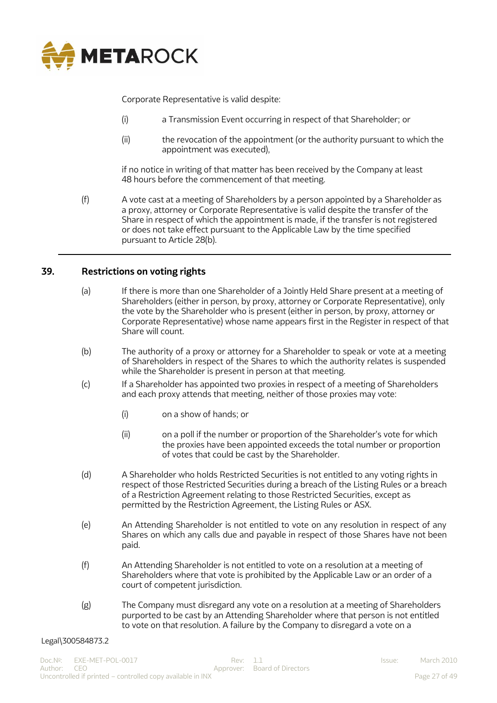

Corporate Representative is valid despite:

- (i) a Transmission Event occurring in respect of that Shareholder; or
- (ii) the revocation of the appointment (or the authority pursuant to which the appointment was executed),

if no notice in writing of that matter has been received by the Company at least 48 hours before the commencement of that meeting.

(f) A vote cast at a meeting of Shareholders by a person appointed by a Shareholder as a proxy, attorney or Corporate Representative is valid despite the transfer of the Share in respect of which the appointment is made, if the transfer is not registered or does not take effect pursuant to the Applicable Law by the time specified pursuant to Article 28(b).

# <span id="page-26-0"></span>**39. Restrictions on voting rights**

- (a) If there is more than one Shareholder of a Jointly Held Share present at a meeting of Shareholders (either in person, by proxy, attorney or Corporate Representative), only the vote by the Shareholder who is present (either in person, by proxy, attorney or Corporate Representative) whose name appears first in the Register in respect of that Share will count.
- (b) The authority of a proxy or attorney for a Shareholder to speak or vote at a meeting of Shareholders in respect of the Shares to which the authority relates is suspended while the Shareholder is present in person at that meeting.
- (c) If a Shareholder has appointed two proxies in respect of a meeting of Shareholders and each proxy attends that meeting, neither of those proxies may vote:
	- (i) on a show of hands; or
	- (ii) on a poll if the number or proportion of the Shareholder's vote for which the proxies have been appointed exceeds the total number or proportion of votes that could be cast by the Shareholder.
- (d) A Shareholder who holds Restricted Securities is not entitled to any voting rights in respect of those Restricted Securities during a breach of the Listing Rules or a breach of a Restriction Agreement relating to those Restricted Securities, except as permitted by the Restriction Agreement, the Listing Rules or ASX.
- (e) An Attending Shareholder is not entitled to vote on any resolution in respect of any Shares on which any calls due and payable in respect of those Shares have not been paid.
- (f) An Attending Shareholder is not entitled to vote on a resolution at a meeting of Shareholders where that vote is prohibited by the Applicable Law or an order of a court of competent jurisdiction.
- (g) The Company must disregard any vote on a resolution at a meeting of Shareholders purported to be cast by an Attending Shareholder where that person is not entitled to vote on that resolution. A failure by the Company to disregard a vote on a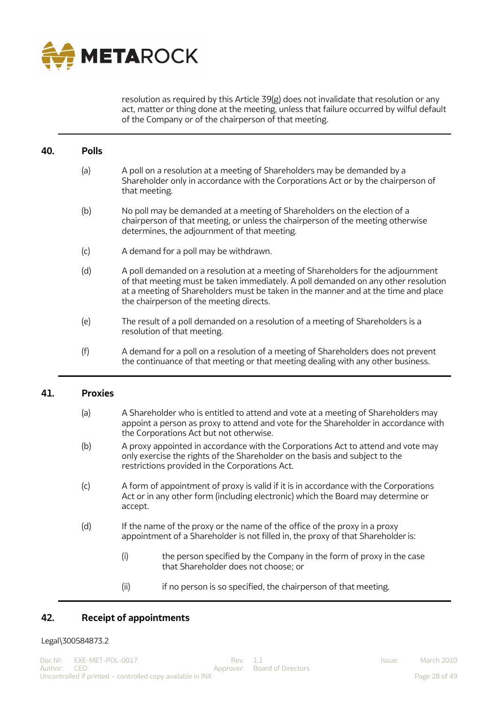

resolution as required by this Article 39(g) does not invalidate that resolution or any act, matter or thing done at the meeting, unless that failure occurred by wilful default of the Company or of the chairperson of that meeting.

#### <span id="page-27-0"></span>**40. Polls**

- (a) A poll on a resolution at a meeting of Shareholders may be demanded by a Shareholder only in accordance with the Corporations Act or by the chairperson of that meeting.
- (b) No poll may be demanded at a meeting of Shareholders on the election of a chairperson of that meeting, or unless the chairperson of the meeting otherwise determines, the adjournment of that meeting.
- (c) A demand for a poll may be withdrawn.
- (d) A poll demanded on a resolution at a meeting of Shareholders for the adjournment of that meeting must be taken immediately. A poll demanded on any other resolution at a meeting of Shareholders must be taken in the manner and at the time and place the chairperson of the meeting directs.
- (e) The result of a poll demanded on a resolution of a meeting of Shareholders is a resolution of that meeting.
- (f) A demand for a poll on a resolution of a meeting of Shareholders does not prevent the continuance of that meeting or that meeting dealing with any other business.

#### <span id="page-27-1"></span>**41. Proxies**

- (a) A Shareholder who is entitled to attend and vote at a meeting of Shareholders may appoint a person as proxy to attend and vote for the Shareholder in accordance with the Corporations Act but not otherwise.
- (b) A proxy appointed in accordance with the Corporations Act to attend and vote may only exercise the rights of the Shareholder on the basis and subject to the restrictions provided in the Corporations Act.
- (c) A form of appointment of proxy is valid if it is in accordance with the Corporations Act or in any other form (including electronic) which the Board may determine or accept.
- (d) If the name of the proxy or the name of the office of the proxy in a proxy appointment of a Shareholder is not filled in, the proxy of that Shareholder is:
	- (i) the person specified by the Company in the form of proxy in the case that Shareholder does not choose; or
	- (ii) if no person is so specified, the chairperson of that meeting.

## <span id="page-27-2"></span>**42. Receipt of appointments**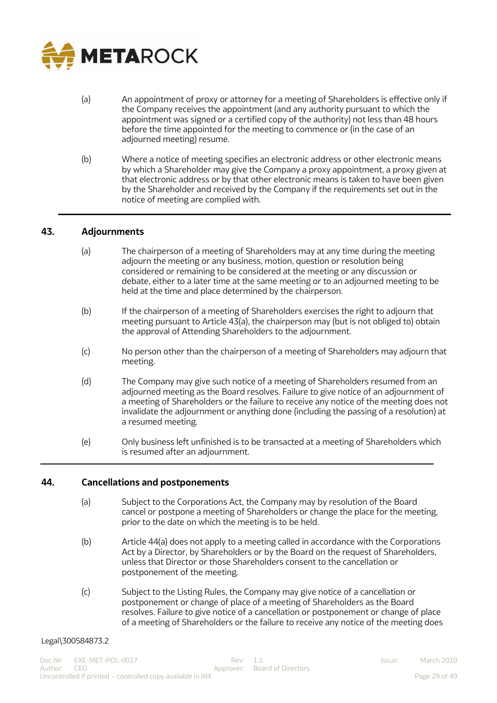

- (a) An appointment of proxy or attorney for a meeting of Shareholders is effective only if the Company receives the appointment (and any authority pursuant to which the appointment was signed or a certified copy of the authority) not less than 48 hours before the time appointed for the meeting to commence or (in the case of an adjourned meeting) resume.
- (b) Where a notice of meeting specifies an electronic address or other electronic means by which a Shareholder may give the Company a proxy appointment, a proxy given at that electronic address or by that other electronic means is taken to have been given by the Shareholder and received by the Company if the requirements set out in the notice of meeting are complied with.

#### <span id="page-28-0"></span>**43. Adjournments**

- (a) The chairperson of a meeting of Shareholders may at any time during the meeting adjourn the meeting or any business, motion, question or resolution being considered or remaining to be considered at the meeting or any discussion or debate, either to a later time at the same meeting or to an adjourned meeting to be held at the time and place determined by the chairperson.
- (b) If the chairperson of a meeting of Shareholders exercises the right to adjourn that meeting pursuant to Article 43(a), the chairperson may (but is not obliged to) obtain the approval of Attending Shareholders to the adjournment.
- (c) No person other than the chairperson of a meeting of Shareholders may adjourn that meeting.
- (d) The Company may give such notice of a meeting of Shareholders resumed from an adjourned meeting as the Board resolves. Failure to give notice of an adjournment of a meeting of Shareholders or the failure to receive any notice of the meeting does not invalidate the adjournment or anything done (including the passing of a resolution) at a resumed meeting.
- (e) Only business left unfinished is to be transacted at a meeting of Shareholders which is resumed after an adjournment.

#### <span id="page-28-1"></span>**44. Cancellations and postponements**

- (a) Subject to the Corporations Act, the Company may by resolution of the Board cancel or postpone a meeting of Shareholders or change the place for the meeting, prior to the date on which the meeting is to be held.
- (b) Article 44(a) does not apply to a meeting called in accordance with the Corporations Act by a Director, by Shareholders or by the Board on the request of Shareholders, unless that Director or those Shareholders consent to the cancellation or postponement of the meeting.
- (c) Subject to the Listing Rules, the Company may give notice of a cancellation or postponement or change of place of a meeting of Shareholders as the Board resolves. Failure to give notice of a cancellation or postponement or change of place of a meeting of Shareholders or the failure to receive any notice of the meeting does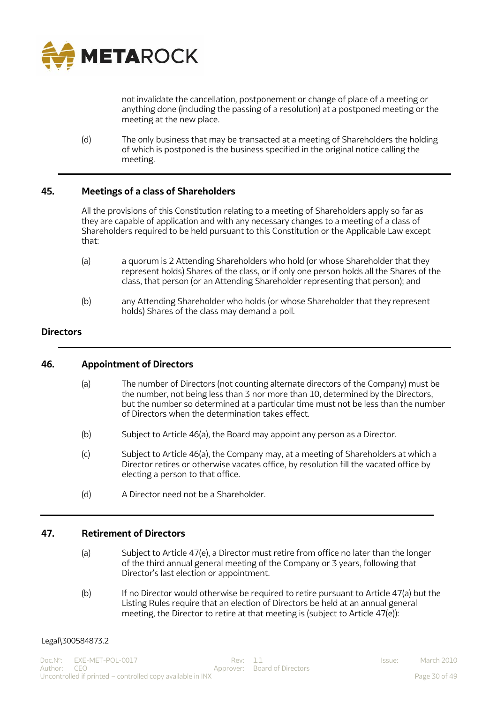

not invalidate the cancellation, postponement or change of place of a meeting or anything done (including the passing of a resolution) at a postponed meeting or the meeting at the new place.

(d) The only business that may be transacted at a meeting of Shareholders the holding of which is postponed is the business specified in the original notice calling the meeting.

## <span id="page-29-0"></span>**45. Meetings of a class of Shareholders**

All the provisions of this Constitution relating to a meeting of Shareholders apply so far as they are capable of application and with any necessary changes to a meeting of a class of Shareholders required to be held pursuant to this Constitution or the Applicable Law except that:

- (a) a quorum is 2 Attending Shareholders who hold (or whose Shareholder that they represent holds) Shares of the class, or if only one person holds all the Shares of the class, that person (or an Attending Shareholder representing that person); and
- (b) any Attending Shareholder who holds (or whose Shareholder that they represent holds) Shares of the class may demand a poll.

#### <span id="page-29-1"></span>**Directors**

#### <span id="page-29-2"></span>**46. Appointment of Directors**

- (a) The number of Directors (not counting alternate directors of the Company) must be the number, not being less than 3 nor more than 10, determined by the Directors, but the number so determined at a particular time must not be less than the number of Directors when the determination takes effect.
- (b) Subject to Article 46(a), the Board may appoint any person as a Director.
- (c) Subject to Article 46(a), the Company may, at a meeting of Shareholders at which a Director retires or otherwise vacates office, by resolution fill the vacated office by electing a person to that office.
- (d) A Director need not be a Shareholder.

#### <span id="page-29-3"></span>**47. Retirement of Directors**

- (a) Subject to Article 47(e), a Director must retire from office no later than the longer of the third annual general meeting of the Company or 3 years, following that Director's last election or appointment.
- (b) If no Director would otherwise be required to retire pursuant to Article 47(a) but the Listing Rules require that an election of Directors be held at an annual general meeting, the Director to retire at that meeting is (subject to Article 47(e)):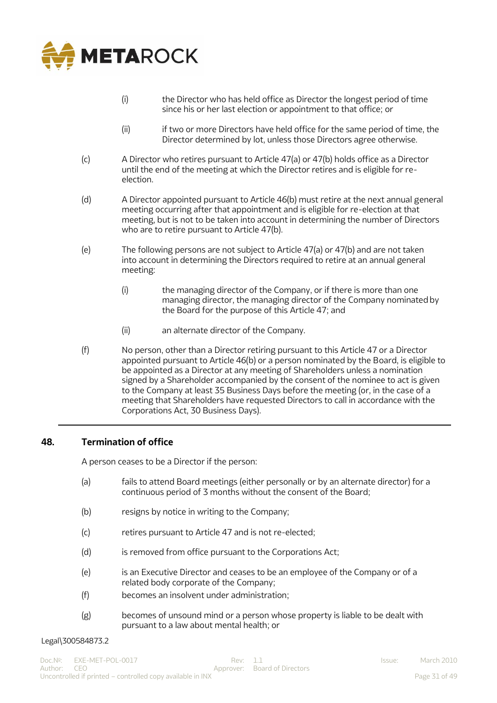

- (i) the Director who has held office as Director the longest period of time since his or her last election or appointment to that office; or
- (ii) if two or more Directors have held office for the same period of time, the Director determined by lot, unless those Directors agree otherwise.
- (c) A Director who retires pursuant to Article 47(a) or 47(b) holds office as a Director until the end of the meeting at which the Director retires and is eligible for reelection.
- (d) A Director appointed pursuant to Article 46(b) must retire at the next annual general meeting occurring after that appointment and is eligible for re-election at that meeting, but is not to be taken into account in determining the number of Directors who are to retire pursuant to Article 47(b).
- (e) The following persons are not subject to Article 47(a) or 47(b) and are not taken into account in determining the Directors required to retire at an annual general meeting:
	- (i) the managing director of the Company, or if there is more than one managing director, the managing director of the Company nominated by the Board for the purpose of this Article 47; and
	- (ii) an alternate director of the Company.
- (f) No person, other than a Director retiring pursuant to this Article 47 or a Director appointed pursuant to Article 46(b) or a person nominated by the Board, is eligible to be appointed as a Director at any meeting of Shareholders unless a nomination signed by a Shareholder accompanied by the consent of the nominee to act is given to the Company at least 35 Business Days before the meeting (or, in the case of a meeting that Shareholders have requested Directors to call in accordance with the Corporations Act, 30 Business Days).

## <span id="page-30-0"></span>**48. Termination of office**

A person ceases to be a Director if the person:

- (a) fails to attend Board meetings (either personally or by an alternate director) for a continuous period of 3 months without the consent of the Board;
- (b) resigns by notice in writing to the Company;
- (c) retires pursuant to Article 47 and is not re-elected;
- (d) is removed from office pursuant to the Corporations Act;
- (e) is an Executive Director and ceases to be an employee of the Company or of a related body corporate of the Company;
- (f) becomes an insolvent under administration;
- (g) becomes of unsound mind or a person whose property is liable to be dealt with pursuant to a law about mental health; or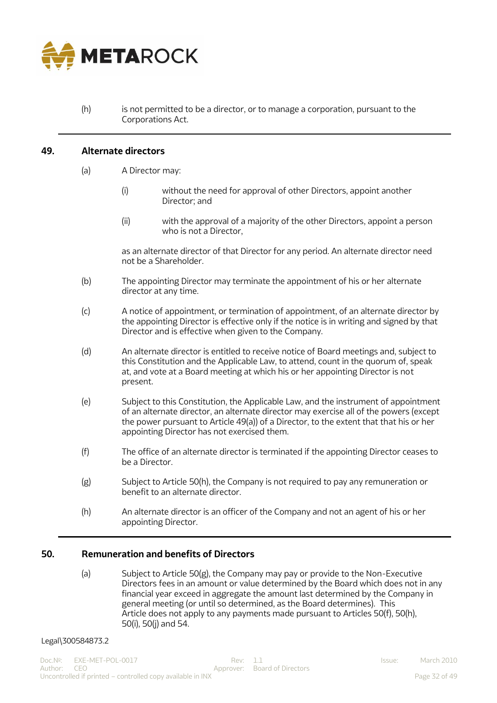

(h) is not permitted to be a director, or to manage a corporation, pursuant to the Corporations Act.

#### <span id="page-31-0"></span>**49. Alternate directors**

- (a) A Director may:
	- (i) without the need for approval of other Directors, appoint another Director; and
	- (ii) with the approval of a majority of the other Directors, appoint a person who is not a Director,

as an alternate director of that Director for any period. An alternate director need not be a Shareholder.

- (b) The appointing Director may terminate the appointment of his or her alternate director at any time.
- (c) A notice of appointment, or termination of appointment, of an alternate director by the appointing Director is effective only if the notice is in writing and signed by that Director and is effective when given to the Company.
- (d) An alternate director is entitled to receive notice of Board meetings and, subject to this Constitution and the Applicable Law, to attend, count in the quorum of, speak at, and vote at a Board meeting at which his or her appointing Director is not present.
- (e) Subject to this Constitution, the Applicable Law, and the instrument of appointment of an alternate director, an alternate director may exercise all of the powers (except the power pursuant to Article  $49(a)$  of a Director, to the extent that that his or her appointing Director has not exercised them.
- (f) The office of an alternate director is terminated if the appointing Director ceases to be a Director.
- (g) Subject to Article 50(h), the Company is not required to pay any remuneration or benefit to an alternate director.
- (h) An alternate director is an officer of the Company and not an agent of his or her appointing Director.

## <span id="page-31-1"></span>**50. Remuneration and benefits of Directors**

(a) Subject to Article 50(g), the Company may pay or provide to the Non-Executive Directors fees in an amount or value determined by the Board which does not in any financial year exceed in aggregate the amount last determined by the Company in general meeting (or until so determined, as the Board determines). This Article does not apply to any payments made pursuant to Articles 50(f), 50(h), 50(i), 50(j) and 54.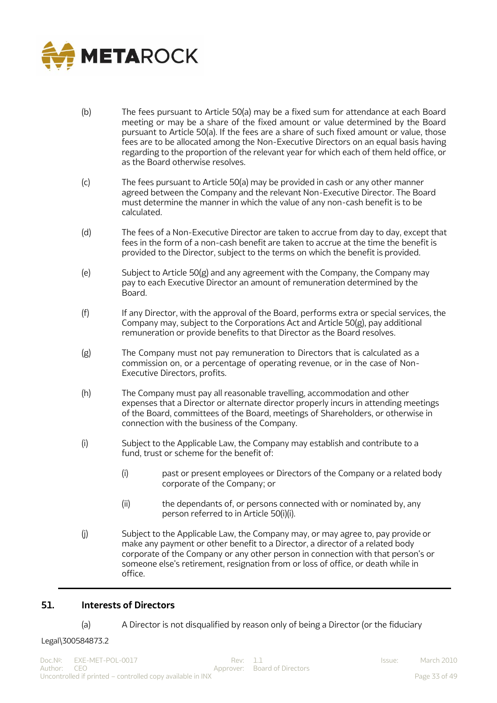

- (b) The fees pursuant to Article 50(a) may be a fixed sum for attendance at each Board meeting or may be a share of the fixed amount or value determined by the Board pursuant to Article 50(a). If the fees are a share of such fixed amount or value, those fees are to be allocated among the Non-Executive Directors on an equal basis having regarding to the proportion of the relevant year for which each of them held office, or as the Board otherwise resolves.
- (c) The fees pursuant to Article 50(a) may be provided in cash or any other manner agreed between the Company and the relevant Non-Executive Director. The Board must determine the manner in which the value of any non-cash benefit is to be calculated.
- (d) The fees of a Non-Executive Director are taken to accrue from day to day, except that fees in the form of a non-cash benefit are taken to accrue at the time the benefit is provided to the Director, subject to the terms on which the benefit is provided.
- (e) Subject to Article 50(g) and any agreement with the Company, the Company may pay to each Executive Director an amount of remuneration determined by the Board.
- (f) If any Director, with the approval of the Board, performs extra or special services, the Company may, subject to the Corporations Act and Article 50(g), pay additional remuneration or provide benefits to that Director as the Board resolves.
- (g) The Company must not pay remuneration to Directors that is calculated as a commission on, or a percentage of operating revenue, or in the case of Non-Executive Directors, profits.
- (h) The Company must pay all reasonable travelling, accommodation and other expenses that a Director or alternate director properly incurs in attending meetings of the Board, committees of the Board, meetings of Shareholders, or otherwise in connection with the business of the Company.
- (i) Subject to the Applicable Law, the Company may establish and contribute to a fund, trust or scheme for the benefit of:
	- (i) past or present employees or Directors of the Company or a related body corporate of the Company; or
	- (ii) the dependants of, or persons connected with or nominated by, any person referred to in Article 50(i)(i).
- (j) Subject to the Applicable Law, the Company may, or may agree to, pay provide or make any payment or other benefit to a Director, a director of a related body corporate of the Company or any other person in connection with that person's or someone else's retirement, resignation from or loss of office, or death while in office.

# <span id="page-32-0"></span>**51. Interests of Directors**

(a) A Director is not disqualified by reason only of being a Director (or the fiduciary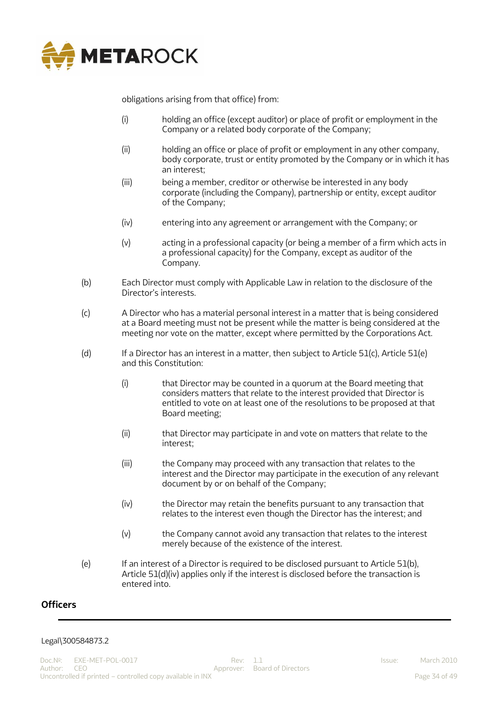

obligations arising from that office) from:

- (i) holding an office (except auditor) or place of profit or employment in the Company or a related body corporate of the Company;
- (ii) holding an office or place of profit or employment in any other company, body corporate, trust or entity promoted by the Company or in which it has an interest;
- (iii) being a member, creditor or otherwise be interested in any body corporate (including the Company), partnership or entity, except auditor of the Company;
- (iv) entering into any agreement or arrangement with the Company; or
- (v) acting in a professional capacity (or being a member of a firm which acts in a professional capacity) for the Company, except as auditor of the Company.
- (b) Each Director must comply with Applicable Law in relation to the disclosure of the Director's interests.
- (c) A Director who has a material personal interest in a matter that is being considered at a Board meeting must not be present while the matter is being considered at the meeting nor vote on the matter, except where permitted by the Corporations Act.
- (d) If a Director has an interest in a matter, then subject to Article 51(c), Article 51(e) and this Constitution:
	- (i) that Director may be counted in a quorum at the Board meeting that considers matters that relate to the interest provided that Director is entitled to vote on at least one of the resolutions to be proposed at that Board meeting;
	- (ii) that Director may participate in and vote on matters that relate to the interest;
	- (iii) the Company may proceed with any transaction that relates to the interest and the Director may participate in the execution of any relevant document by or on behalf of the Company;
	- (iv) the Director may retain the benefits pursuant to any transaction that relates to the interest even though the Director has the interest; and
	- (v) the Company cannot avoid any transaction that relates to the interest merely because of the existence of the interest.
- (e) If an interest of a Director is required to be disclosed pursuant to Article 51(b), Article 51(d)(iv) applies only if the interest is disclosed before the transaction is entered into.

# <span id="page-33-0"></span>**Officers**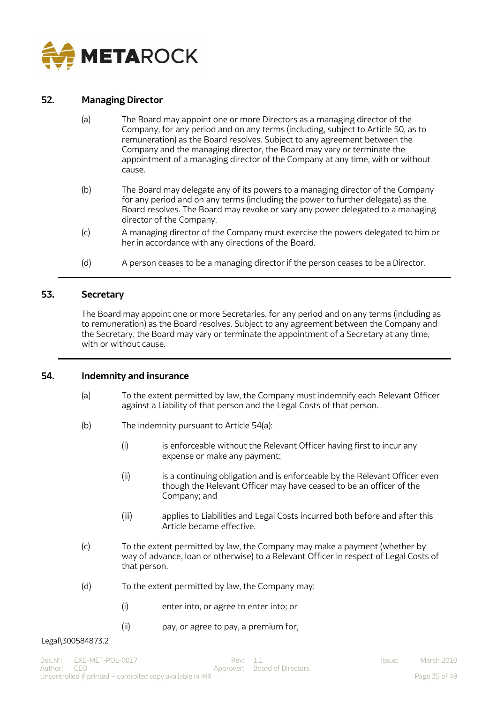

# <span id="page-34-0"></span>**52. Managing Director**

- (a) The Board may appoint one or more Directors as a managing director of the Company, for any period and on any terms (including, subject to Article 50, as to remuneration) as the Board resolves. Subject to any agreement between the Company and the managing director, the Board may vary or terminate the appointment of a managing director of the Company at any time, with or without cause.
- (b) The Board may delegate any of its powers to a managing director of the Company for any period and on any terms (including the power to further delegate) as the Board resolves. The Board may revoke or vary any power delegated to a managing director of the Company.
- (c) A managing director of the Company must exercise the powers delegated to him or her in accordance with any directions of the Board.
- (d) A person ceases to be a managing director if the person ceases to be a Director.

#### <span id="page-34-1"></span>**53. Secretary**

The Board may appoint one or more Secretaries, for any period and on any terms (including as to remuneration) as the Board resolves. Subject to any agreement between the Company and the Secretary, the Board may vary or terminate the appointment of a Secretary at any time, with or without cause.

#### <span id="page-34-2"></span>**54. Indemnity and insurance**

- (a) To the extent permitted by law, the Company must indemnify each Relevant Officer against a Liability of that person and the Legal Costs of that person.
- (b) The indemnity pursuant to Article 54(a):
	- (i) is enforceable without the Relevant Officer having first to incur any expense or make any payment;
	- (ii) is a continuing obligation and is enforceable by the Relevant Officer even though the Relevant Officer may have ceased to be an officer of the Company; and
	- (iii) applies to Liabilities and Legal Costs incurred both before and after this Article became effective.
- (c) To the extent permitted by law, the Company may make a payment (whether by way of advance, loan or otherwise) to a Relevant Officer in respect of Legal Costs of that person.
- (d) To the extent permitted by law, the Company may:
	- (i) enter into, or agree to enter into; or
	- (ii) pay, or agree to pay, a premium for,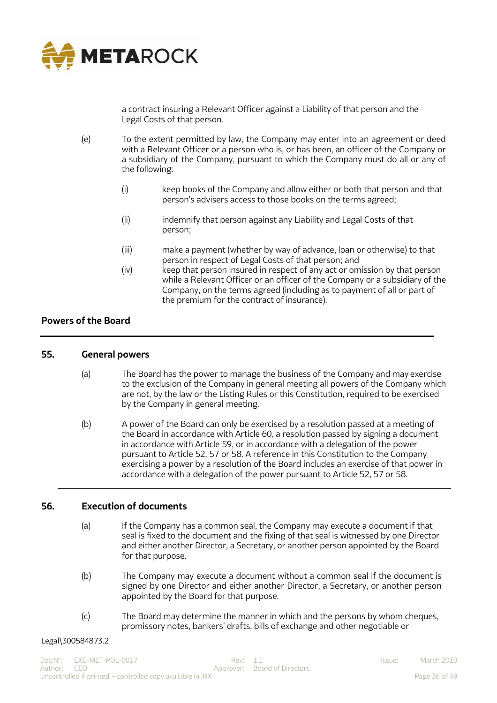

a contract insuring a Relevant Officer against a Liability of that person and the Legal Costs of that person.

- (e) To the extent permitted by law, the Company may enter into an agreement or deed with a Relevant Officer or a person who is, or has been, an officer of the Company or a subsidiary of the Company, pursuant to which the Company must do all or any of the following:
	- (i) keep books of the Company and allow either or both that person and that person's advisers access to those books on the terms agreed;
	- (ii) indemnify that person against any Liability and Legal Costs of that person;
	- (iii) make a payment (whether by way of advance, loan or otherwise) to that person in respect of Legal Costs of that person; and
	- (iv) keep that person insured in respect of any act or omission by that person while a Relevant Officer or an officer of the Company or a subsidiary of the Company, on the terms agreed (including as to payment of all or part of the premium for the contract of insurance).

# <span id="page-35-0"></span>**Powers of the Board**

#### <span id="page-35-1"></span>**55. General powers**

- (a) The Board has the power to manage the business of the Company and may exercise to the exclusion of the Company in general meeting all powers of the Company which are not, by the law or the Listing Rules or this Constitution, required to be exercised by the Company in general meeting.
- (b) A power of the Board can only be exercised by a resolution passed at a meeting of the Board in accordance with Article 60, a resolution passed by signing a document in accordance with Article 59, or in accordance with a delegation of the power pursuant to Article 52, 57 or 58. A reference in this Constitution to the Company exercising a power by a resolution of the Board includes an exercise of that power in accordance with a delegation of the power pursuant to Article 52, 57 or 58.

## <span id="page-35-2"></span>**56. Execution of documents**

- (a) If the Company has a common seal, the Company may execute a document if that seal is fixed to the document and the fixing of that seal is witnessed by one Director and either another Director, a Secretary, or another person appointed by the Board for that purpose.
- (b) The Company may execute a document without a common seal if the document is signed by one Director and either another Director, a Secretary, or another person appointed by the Board for that purpose.
- (c) The Board may determine the manner in which and the persons by whom cheques, promissory notes, bankers' drafts, bills of exchange and other negotiable or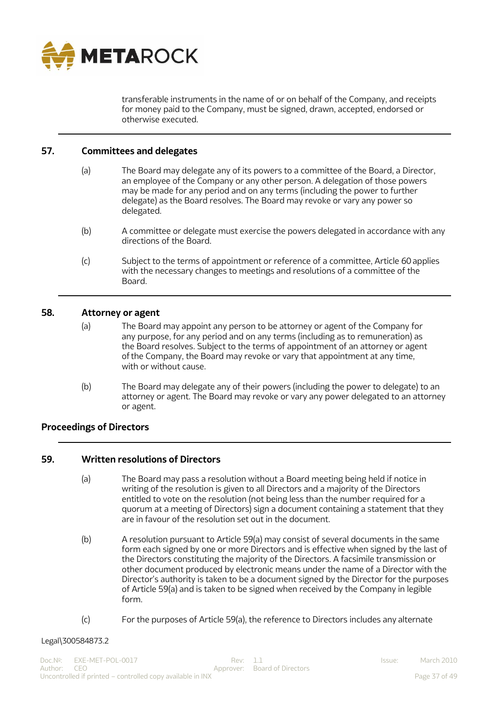

transferable instruments in the name of or on behalf of the Company, and receipts for money paid to the Company, must be signed, drawn, accepted, endorsed or otherwise executed.

## <span id="page-36-0"></span>**57. Committees and delegates**

- (a) The Board may delegate any of its powers to a committee of the Board, a Director, an employee of the Company or any other person. A delegation of those powers may be made for any period and on any terms (including the power to further delegate) as the Board resolves. The Board may revoke or vary any power so delegated.
- (b) A committee or delegate must exercise the powers delegated in accordance with any directions of the Board.
- (c) Subject to the terms of appointment or reference of a committee, Article 60 applies with the necessary changes to meetings and resolutions of a committee of the Board.

#### <span id="page-36-1"></span>**58. Attorney or agent**

- (a) The Board may appoint any person to be attorney or agent of the Company for any purpose, for any period and on any terms (including as to remuneration) as the Board resolves. Subject to the terms of appointment of an attorney or agent ofthe Company, the Board may revoke or vary that appointment at any time, with or without cause.
- (b) The Board may delegate any of their powers (including the power to delegate) to an attorney or agent. The Board may revoke or vary any power delegated to an attorney or agent.

## <span id="page-36-2"></span>**Proceedings of Directors**

## <span id="page-36-3"></span>**59. Written resolutions of Directors**

- (a) The Board may pass a resolution without a Board meeting being held if notice in writing of the resolution is given to all Directors and a majority of the Directors entitled to vote on the resolution (not being less than the number required for a quorum at a meeting of Directors) sign a document containing a statement that they are in favour of the resolution set out in the document.
- (b) A resolution pursuant to Article 59(a) may consist of several documents in the same form each signed by one or more Directors and is effective when signed by the last of the Directors constituting the majority of the Directors. A facsimile transmission or other document produced by electronic means under the name of a Director with the Director's authority is taken to be a document signed by the Director for the purposes of Article 59(a) and is taken to be signed when received by the Company in legible form.
- (c) For the purposes of Article 59(a), the reference to Directors includes any alternate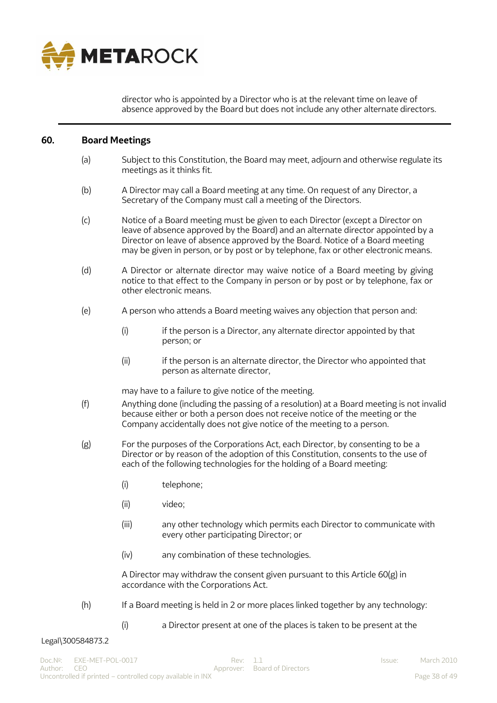

director who is appointed by a Director who is at the relevant time on leave of absence approved by the Board but does not include any other alternate directors.

#### <span id="page-37-0"></span>**60. Board Meetings**

- (a) Subject to this Constitution, the Board may meet, adjourn and otherwise regulate its meetings as it thinks fit.
- (b) A Director may call a Board meeting at any time. On request of any Director, a Secretary of the Company must call a meeting of the Directors.
- (c) Notice of a Board meeting must be given to each Director (except a Director on leave of absence approved by the Board) and an alternate director appointed by a Director on leave of absence approved by the Board. Notice of a Board meeting may be given in person, or by post or by telephone, fax or other electronic means.
- (d) A Director or alternate director may waive notice of a Board meeting by giving notice to that effect to the Company in person or by post or by telephone, fax or other electronic means.
- (e) A person who attends a Board meeting waives any objection that person and:
	- (i) if the person is a Director, any alternate director appointed by that person; or
	- (ii) if the person is an alternate director, the Director who appointed that person as alternate director,

may have to a failure to give notice of the meeting.

- (f) Anything done (including the passing of a resolution) at a Board meeting is not invalid because either or both a person does not receive notice of the meeting or the Company accidentally does not give notice of the meeting to a person.
- (g) For the purposes of the Corporations Act, each Director, by consenting to be a Director or by reason of the adoption of this Constitution, consents to the use of each of the following technologies for the holding of a Board meeting:
	- (i) telephone;
	- (ii) video;
	- (iii) any other technology which permits each Director to communicate with every other participating Director; or
	- (iv) any combination of these technologies.

A Director may withdraw the consent given pursuant to this Article 60(g) in accordance with the Corporations Act.

- (h) If a Board meeting is held in 2 or more places linked together by any technology:
	- (i) a Director present at one of the places is taken to be present at the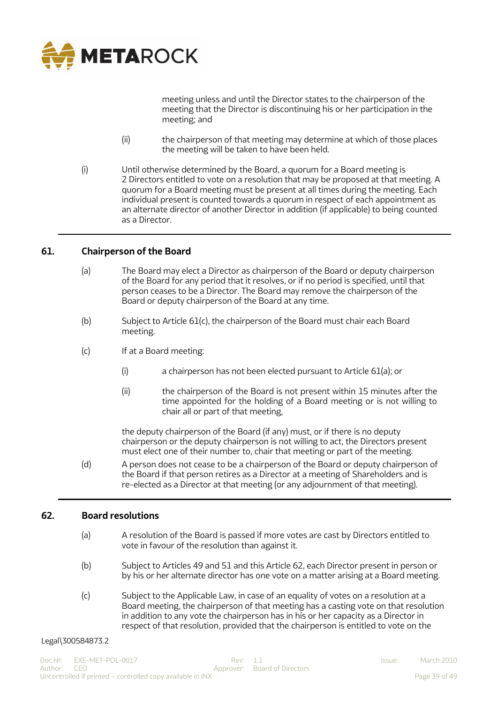

meeting unless and until the Director states to the chairperson of the meeting that the Director is discontinuing his or her participation in the meeting; and

- (ii) the chairperson of that meeting may determine at which of those places the meeting will be taken to have been held.
- (i) Until otherwise determined by the Board, a quorum for a Board meeting is 2 Directors entitled to vote on a resolution that may be proposed at that meeting. A quorum for a Board meeting must be present at all times during the meeting. Each individual present is counted towards a quorum in respect of each appointment as an alternate director of another Director in addition (if applicable) to being counted as a Director.

## <span id="page-38-0"></span>**61. Chairperson of the Board**

- (a) The Board may elect a Director as chairperson of the Board or deputy chairperson of the Board for any period that it resolves, or if no period is specified, until that person ceases to be a Director. The Board may remove the chairperson of the Board or deputy chairperson of the Board at any time.
- (b) Subject to Article 61(c), the chairperson of the Board must chair each Board meeting.
- (c) If at a Board meeting:
	- (i) a chairperson has not been elected pursuant to Article 61(a); or
	- (ii) the chairperson of the Board is not present within 15 minutes after the time appointed for the holding of a Board meeting or is not willing to chair all or part of that meeting,

the deputy chairperson of the Board (if any) must, or if there is no deputy chairperson or the deputy chairperson is not willing to act, the Directors present must elect one of their number to, chair that meeting or part of the meeting.

(d) A person does not cease to be a chairperson of the Board or deputy chairperson of the Board if that person retires as a Director at a meeting of Shareholders and is re-elected as a Director at that meeting (or any adjournment of that meeting).

#### <span id="page-38-1"></span>**62. Board resolutions**

- (a) A resolution of the Board is passed if more votes are cast by Directors entitled to vote in favour of the resolution than against it.
- (b) Subject to Articles 49 and 51 and this Article 62, each Director present in person or by his or her alternate director has one vote on a matter arising at a Board meeting.
- (c) Subject to the Applicable Law, in case of an equality of votes on a resolution at a Board meeting, the chairperson of that meeting has a casting vote on that resolution in addition to any vote the chairperson has in his or her capacity as a Director in respect of that resolution, provided that the chairperson is entitled to vote on the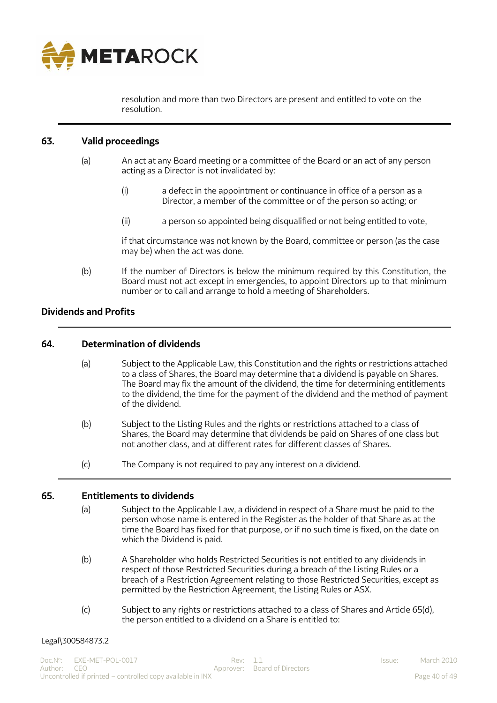

resolution and more than two Directors are present and entitled to vote on the resolution.

## <span id="page-39-0"></span>**63. Valid proceedings**

- (a) An act at any Board meeting or a committee of the Board or an act of any person acting as a Director is not invalidated by:
	- (i) a defect in the appointment or continuance in office of a person as a Director, a member of the committee or of the person so acting; or
	- (ii) a person so appointed being disqualified or not being entitled to vote,

if that circumstance was not known by the Board, committee or person (as the case may be) when the act was done.

(b) If the number of Directors is below the minimum required by this Constitution, the Board must not act except in emergencies, to appoint Directors up to that minimum number or to call and arrange to hold a meeting of Shareholders.

## <span id="page-39-1"></span>**Dividends and Profits**

## <span id="page-39-2"></span>**64. Determination of dividends**

- (a) Subject to the Applicable Law, this Constitution and the rights or restrictions attached to a class of Shares, the Board may determine that a dividend is payable on Shares. The Board may fix the amount of the dividend, the time for determining entitlements to the dividend, the time for the payment of the dividend and the method of payment of the dividend.
- (b) Subject to the Listing Rules and the rights or restrictions attached to a class of Shares, the Board may determine that dividends be paid on Shares of one class but not another class, and at different rates for different classes of Shares.
- (c) The Company is not required to pay any interest on a dividend.

## <span id="page-39-3"></span>**65. Entitlements to dividends**

- (a) Subject to the Applicable Law, a dividend in respect of a Share must be paid to the person whose name is entered in the Register as the holder of that Share as at the time the Board has fixed for that purpose, or if no such time is fixed, on the date on which the Dividend is paid.
- (b) A Shareholder who holds Restricted Securities is not entitled to any dividends in respect of those Restricted Securities during a breach of the Listing Rules or a breach of a Restriction Agreement relating to those Restricted Securities, except as permitted by the Restriction Agreement, the Listing Rules or ASX.
- (c) Subject to any rights or restrictions attached to a class of Shares and Article 65(d), the person entitled to a dividend on a Share is entitled to: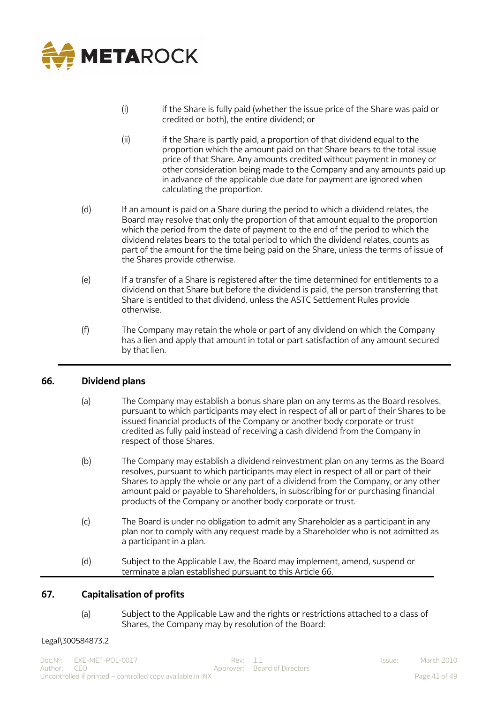

- (i) if the Share is fully paid (whether the issue price of the Share was paid or credited or both), the entire dividend; or
- (ii) if the Share is partly paid, a proportion of that dividend equal to the proportion which the amount paid on that Share bears to the total issue price of that Share. Any amounts credited without payment in money or other consideration being made to the Company and any amounts paid up in advance of the applicable due date for payment are ignored when calculating the proportion.
- (d) If an amount is paid on a Share during the period to which a dividend relates, the Board may resolve that only the proportion of that amount equal to the proportion which the period from the date of payment to the end of the period to which the dividend relates bears to the total period to which the dividend relates, counts as part of the amount for the time being paid on the Share, unless the terms of issue of the Shares provide otherwise.
- (e) If a transfer of a Share is registered after the time determined for entitlements to a dividend on that Share but before the dividend is paid, the person transferring that Share is entitled to that dividend, unless the ASTC Settlement Rules provide otherwise.
- (f) The Company may retain the whole or part of any dividend on which the Company has a lien and apply that amount in total or part satisfaction of any amount secured by that lien.

## <span id="page-40-0"></span>**66. Dividend plans**

- (a) The Company may establish a bonus share plan on any terms as the Board resolves, pursuant to which participants may elect in respect of all or part of their Shares to be issued financial products of the Company or another body corporate or trust credited as fully paid instead of receiving a cash dividend from the Company in respect of those Shares.
- (b) The Company may establish a dividend reinvestment plan on any terms as the Board resolves, pursuant to which participants may elect in respect of all or part of their Shares to apply the whole or any part of a dividend from the Company, or any other amount paid or payable to Shareholders, in subscribing for or purchasing financial products of the Company or another body corporate or trust.
- (c) The Board is under no obligation to admit any Shareholder as a participant in any plan nor to comply with any request made by a Shareholder who is not admitted as a participant in a plan.
- (d) Subject to the Applicable Law, the Board may implement, amend, suspend or terminate a plan established pursuant to this Article 66.

## <span id="page-40-1"></span>**67. Capitalisation of profits**

(a) Subject to the Applicable Law and the rights or restrictions attached to a class of Shares, the Company may by resolution of the Board: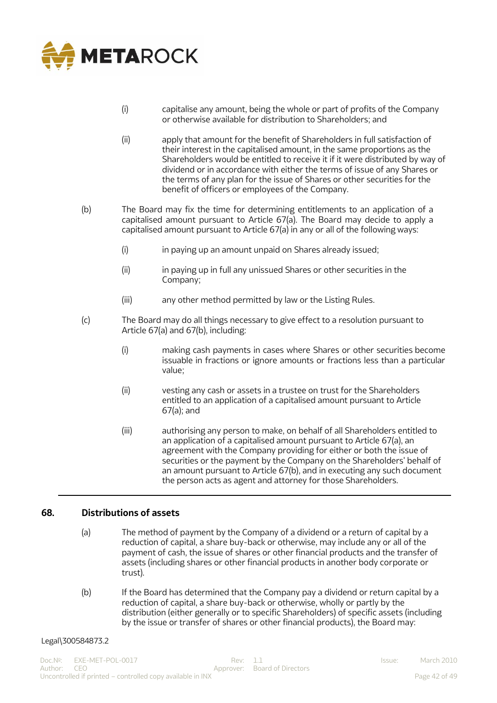

- (i) capitalise any amount, being the whole or part of profits of the Company or otherwise available for distribution to Shareholders; and
- (ii) apply that amount for the benefit of Shareholders in full satisfaction of their interest in the capitalised amount, in the same proportions as the Shareholders would be entitled to receive it if it were distributed by way of dividend or in accordance with either the terms of issue of any Shares or the terms of any plan for the issue of Shares or other securities for the benefit of officers or employees of the Company.
- (b) The Board may fix the time for determining entitlements to an application of a capitalised amount pursuant to Article 67(a). The Board may decide to apply a capitalised amount pursuant to Article 67(a) in any or all of the following ways:
	- (i) in paying up an amount unpaid on Shares already issued;
	- (ii) in paying up in full any unissued Shares or other securities in the Company;
	- (iii) any other method permitted by law or the Listing Rules.
- (c) The Board may do all things necessary to give effect to a resolution pursuant to Article 67(a) and 67(b), including:
	- (i) making cash payments in cases where Shares or other securities become issuable in fractions or ignore amounts or fractions less than a particular value;
	- (ii) vesting any cash or assets in a trustee on trust for the Shareholders entitled to an application of a capitalised amount pursuant to Article 67(a); and
	- (iii) authorising any person to make, on behalf of all Shareholders entitled to an application of a capitalised amount pursuant to Article 67(a), an agreement with the Company providing for either or both the issue of securities or the payment by the Company on the Shareholders' behalf of an amount pursuant to Article 67(b), and in executing any such document the person acts as agent and attorney for those Shareholders.

## <span id="page-41-0"></span>**68. Distributions of assets**

- (a) The method of payment by the Company of a dividend or a return of capital by a reduction of capital, a share buy-back or otherwise, may include any or all of the payment of cash, the issue of shares or other financial products and the transfer of assets (including shares or other financial products in another body corporate or trust).
- (b) If the Board has determined that the Company pay a dividend or return capital by a reduction of capital, a share buy-back or otherwise, wholly or partly by the distribution (either generally or to specific Shareholders) of specific assets (including by the issue or transfer of shares or other financial products), the Board may: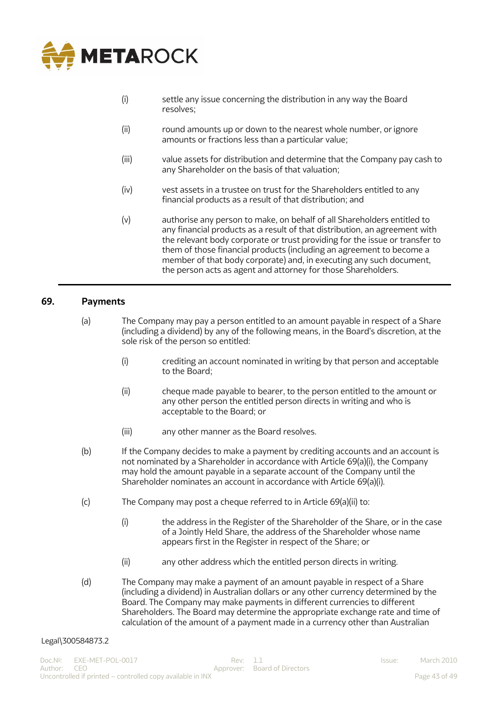

- (i) settle any issue concerning the distribution in any way the Board resolves;
- (ii) round amounts up or down to the nearest whole number, or ignore amounts or fractions less than a particular value;
- (iii) value assets for distribution and determine that the Company pay cash to any Shareholder on the basis of that valuation;
- (iv) vest assets in a trustee on trust for the Shareholders entitled to any financial products as a result of that distribution; and
- (v) authorise any person to make, on behalf of all Shareholders entitled to any financial products as a result of that distribution, an agreement with the relevant body corporate or trust providing for the issue or transfer to them of those financial products (including an agreement to become a member of that body corporate) and, in executing any such document, the person acts as agent and attorney for those Shareholders.

#### <span id="page-42-0"></span>**69. Payments**

- (a) The Company may pay a person entitled to an amount payable in respect of a Share (including a dividend) by any of the following means, in the Board's discretion, at the sole risk of the person so entitled:
	- (i) crediting an account nominated in writing by that person and acceptable to the Board;
	- (ii) cheque made payable to bearer, to the person entitled to the amount or any other person the entitled person directs in writing and who is acceptable to the Board; or
	- (iii) any other manner as the Board resolves.
- (b) If the Company decides to make a payment by crediting accounts and an account is not nominated by a Shareholder in accordance with Article 69(a)(i), the Company may hold the amount payable in a separate account of the Company until the Shareholder nominates an account in accordance with Article 69(a)(i).
- (c) The Company may post a cheque referred to in Article 69(a)(ii) to:
	- (i) the address in the Register of the Shareholder of the Share, or in the case of a Jointly Held Share, the address of the Shareholder whose name appears first in the Register in respect of the Share; or
	- (ii) any other address which the entitled person directs in writing.
- (d) The Company may make a payment of an amount payable in respect of a Share (including a dividend) in Australian dollars or any other currency determined by the Board. The Company may make payments in different currencies to different Shareholders. The Board may determine the appropriate exchange rate and time of calculation of the amount of a payment made in a currency other than Australian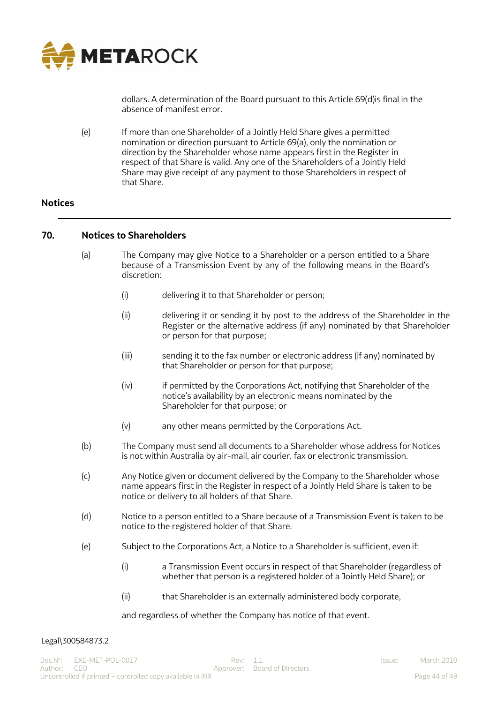

dollars. A determination of the Board pursuant to this Article 69(d)is final in the absence of manifest error.

(e) If more than one Shareholder of a Jointly Held Share gives a permitted nomination or direction pursuant to Article 69(a), only the nomination or direction by the Shareholder whose name appears first in the Register in respect of that Share is valid. Any one of the Shareholders of a Jointly Held Share may give receipt of any payment to those Shareholders in respect of that Share.

## <span id="page-43-0"></span>**Notices**

## <span id="page-43-1"></span>**70. Notices to Shareholders**

- (a) The Company may give Notice to a Shareholder or a person entitled to a Share because of a Transmission Event by any of the following means in the Board's discretion:
	- (i) delivering it to that Shareholder or person;
	- (ii) delivering it or sending it by post to the address of the Shareholder in the Register or the alternative address (if any) nominated by that Shareholder or person for that purpose;
	- (iii) sending it to the fax number or electronic address (if any) nominated by that Shareholder or person for that purpose;
	- (iv) if permitted by the Corporations Act, notifying that Shareholder of the notice's availability by an electronic means nominated by the Shareholder for that purpose; or
	- (v) any other means permitted by the Corporations Act.
- (b) The Company must send all documents to a Shareholder whose address for Notices is not within Australia by air-mail, air courier, fax or electronic transmission.
- (c) Any Notice given or document delivered by the Company to the Shareholder whose name appears first in the Register in respect of a Jointly Held Share is taken to be notice or delivery to all holders of that Share.
- (d) Notice to a person entitled to a Share because of a Transmission Event is taken to be notice to the registered holder of that Share.
- (e) Subject to the Corporations Act, a Notice to a Shareholder is sufficient, even if:
	- (i) a Transmission Event occurs in respect of that Shareholder (regardless of whether that person is a registered holder of a Jointly Held Share); or
	- (ii) that Shareholder is an externally administered body corporate,

and regardless of whether the Company has notice of that event.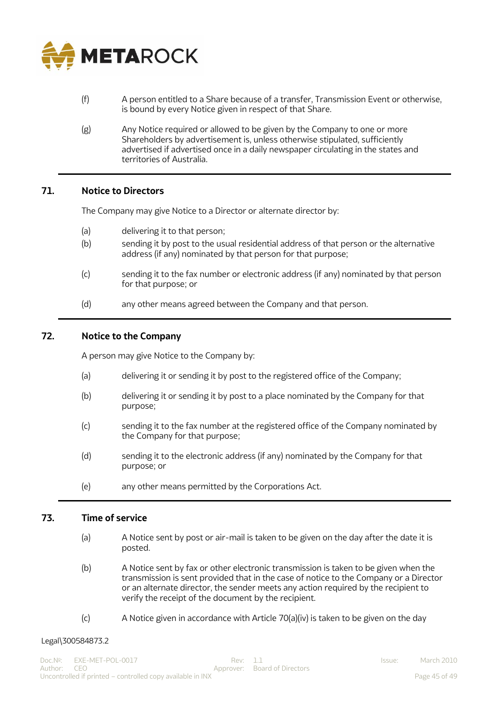

- (f) A person entitled to a Share because of a transfer, Transmission Event or otherwise, is bound by every Notice given in respect of that Share.
- (g) Any Notice required or allowed to be given by the Company to one or more Shareholders by advertisement is, unless otherwise stipulated, sufficiently advertised if advertised once in a daily newspaper circulating in the states and territories of Australia.

## <span id="page-44-0"></span>**71. Notice to Directors**

The Company may give Notice to a Director or alternate director by:

- (a) delivering it to that person;
- (b) sending it by post to the usual residential address of that person or the alternative address (if any) nominated by that person for that purpose;
- (c) sending it to the fax number or electronic address (if any) nominated by that person for that purpose; or
- (d) any other means agreed between the Company and that person.

## <span id="page-44-1"></span>**72. Notice to the Company**

A person may give Notice to the Company by:

- (a) delivering it or sending it by post to the registered office of the Company;
- (b) delivering it or sending it by post to a place nominated by the Company for that purpose;
- (c) sending it to the fax number at the registered office of the Company nominated by the Company for that purpose;
- (d) sending it to the electronic address (if any) nominated by the Company for that purpose; or
- (e) any other means permitted by the Corporations Act.

#### <span id="page-44-2"></span>**73. Time of service**

- (a) A Notice sent by post or air-mail is taken to be given on the day after the date it is posted.
- (b) A Notice sent by fax or other electronic transmission is taken to be given when the transmission is sent provided that in the case of notice to the Company or a Director or an alternate director, the sender meets any action required by the recipient to verify the receipt of the document by the recipient.
- $(c)$  A Notice given in accordance with Article 70(a)(iv) is taken to be given on the day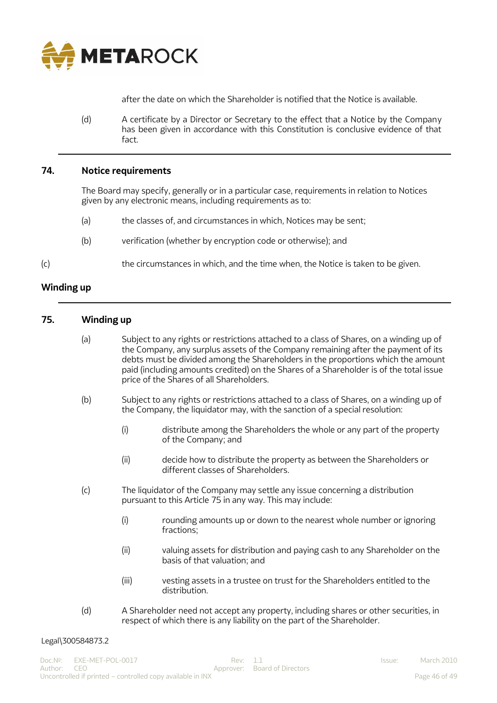

<span id="page-45-1"></span>after the date on which the Shareholder is notified that the Notice is available.

(d) A certificate by a Director or Secretary to the effect that a Notice by the Company has been given in accordance with this Constitution is conclusive evidence of that fact.

## <span id="page-45-0"></span>**74. Notice requirements**

The Board may specify, generally or in a particular case, requirements in relation to Notices given by any electronic means, including requirements as to:

- (a) the classes of, and circumstances in which, Notices may be sent;
- (b) verification (whether by encryption code or otherwise); and
- (c) the circumstances in which, and the time when, the Notice is taken to be given.

#### **Winding up**

#### <span id="page-45-2"></span>**75. Winding up**

- (a) Subject to any rights or restrictions attached to a class of Shares, on a winding up of the Company, any surplus assets of the Company remaining after the payment of its debts must be divided among the Shareholders in the proportions which the amount paid (including amounts credited) on the Shares of a Shareholder is of the total issue price of the Shares of all Shareholders.
- (b) Subject to any rights or restrictions attached to a class of Shares, on a winding up of the Company, the liquidator may, with the sanction of a special resolution:
	- (i) distribute among the Shareholders the whole or any part of the property of the Company; and
	- (ii) decide how to distribute the property as between the Shareholders or different classes of Shareholders.
- (c) The liquidator of the Company may settle any issue concerning a distribution pursuant to this Article 75 in any way. This may include:
	- (i) rounding amounts up or down to the nearest whole number or ignoring fractions;
	- (ii) valuing assets for distribution and paying cash to any Shareholder on the basis of that valuation; and
	- (iii) vesting assets in a trustee on trust for the Shareholders entitled to the distribution.
- (d) A Shareholder need not accept any property, including shares or other securities, in respect of which there is any liability on the part of the Shareholder.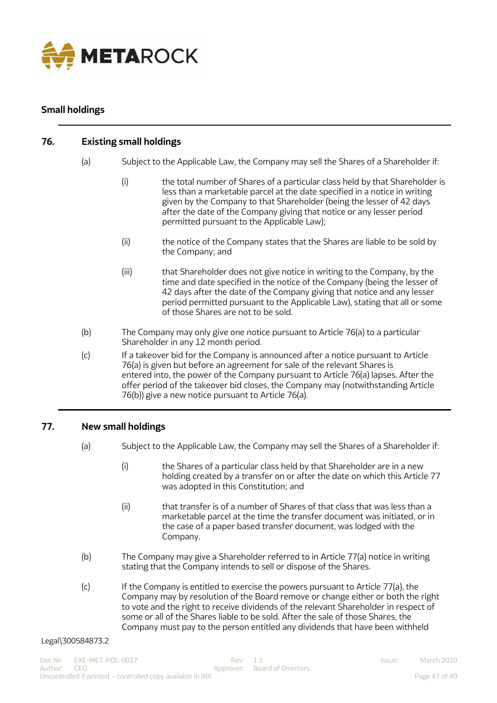

# <span id="page-46-0"></span>**Small holdings**

# <span id="page-46-1"></span>**76. Existing small holdings**

- (a) Subject to the Applicable Law, the Company may sell the Shares of a Shareholder if:
	- (i) the total number of Shares of a particular class held by that Shareholder is less than a marketable parcel at the date specified in a notice in writing given by the Company to that Shareholder (being the lesser of 42 days after the date of the Company giving that notice or any lesser period permitted pursuant to the Applicable Law);
	- (ii) the notice of the Company states that the Shares are liable to be sold by the Company; and
	- (iii) that Shareholder does not give notice in writing to the Company, by the time and date specified in the notice of the Company (being the lesser of 42 days after the date of the Company giving that notice and any lesser period permitted pursuant to the Applicable Law), stating that all or some of those Shares are not to be sold.
- (b) The Company may only give one notice pursuant to Article 76(a) to a particular Shareholder in any 12 month period.
- (c) If a takeover bid for the Company is announced after a notice pursuant to Article 76(a) is given but before an agreement for sale of the relevant Shares is entered into, the power of the Company pursuant to Article 76(a) lapses. After the offer period of the takeover bid closes, the Company may (notwithstanding Article 76(b)) give a new notice pursuant to Article 76(a).

## <span id="page-46-2"></span>**77. New small holdings**

- (a) Subject to the Applicable Law, the Company may sell the Shares of a Shareholder if:
	- (i) the Shares of a particular class held by that Shareholder are in a new holding created by a transfer on or after the date on which this Article 77 was adopted in this Constitution; and
	- (ii) that transfer is of a number of Shares of that class that was less than a marketable parcel at the time the transfer document was initiated, or in the case of a paper based transfer document, was lodged with the Company.
- (b) The Company may give a Shareholder referred to in Article 77(a) notice in writing stating that the Company intends to sell or dispose of the Shares.
- (c) If the Company is entitled to exercise the powers pursuant to Article 77(a), the Company may by resolution of the Board remove or change either or both the right to vote and the right to receive dividends of the relevant Shareholder in respect of some or all of the Shares liable to be sold. After the sale of those Shares, the Company must pay to the person entitled any dividends that have been withheld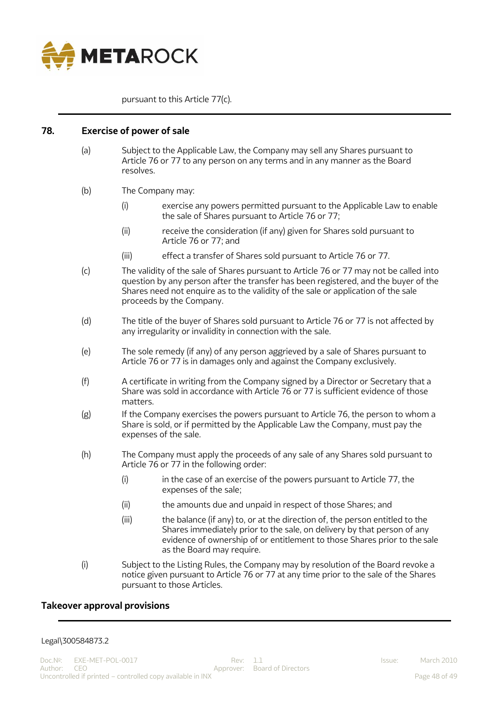

pursuant to this Article 77(c).

## <span id="page-47-0"></span>**78. Exercise of power of sale**

- (a) Subject to the Applicable Law, the Company may sell any Shares pursuant to Article 76 or 77 to any person on any terms and in any manner as the Board resolves.
- (b) The Company may:
	- (i) exercise any powers permitted pursuant to the Applicable Law to enable the sale of Shares pursuant to Article 76 or 77;
	- (ii) receive the consideration (if any) given for Shares sold pursuant to Article 76 or 77; and
	- (iii) effect a transfer of Shares sold pursuant to Article 76 or 77.
- (c) The validity of the sale of Shares pursuant to Article 76 or 77 may not be called into question by any person after the transfer has been registered, and the buyer of the Shares need not enquire as to the validity of the sale or application of the sale proceeds by the Company.
- (d) The title of the buyer of Shares sold pursuant to Article 76 or 77 is not affected by any irregularity or invalidity in connection with the sale.
- (e) The sole remedy (if any) of any person aggrieved by a sale of Shares pursuant to Article 76 or 77 is in damages only and against the Company exclusively.
- (f) A certificate in writing from the Company signed by a Director or Secretary that a Share was sold in accordance with Article 76 or 77 is sufficient evidence of those matters.
- $(g)$  If the Company exercises the powers pursuant to Article 76, the person to whom a Share is sold, or if permitted by the Applicable Law the Company, must pay the expenses of the sale.
- (h) The Company must apply the proceeds of any sale of any Shares sold pursuant to Article 76 or 77 in the following order:
	- $(i)$  in the case of an exercise of the powers pursuant to Article 77, the expenses of the sale;
	- (ii) the amounts due and unpaid in respect of those Shares; and
	- (iii) the balance (if any) to, or at the direction of, the person entitled to the Shares immediately prior to the sale, on delivery by that person of any evidence of ownership of or entitlement to those Shares prior to the sale as the Board may require.
- (i) Subject to the Listing Rules, the Company may by resolution of the Board revoke a notice given pursuant to Article 76 or 77 at any time prior to the sale of the Shares pursuant to those Articles.

## <span id="page-47-1"></span>**Takeover approval provisions**